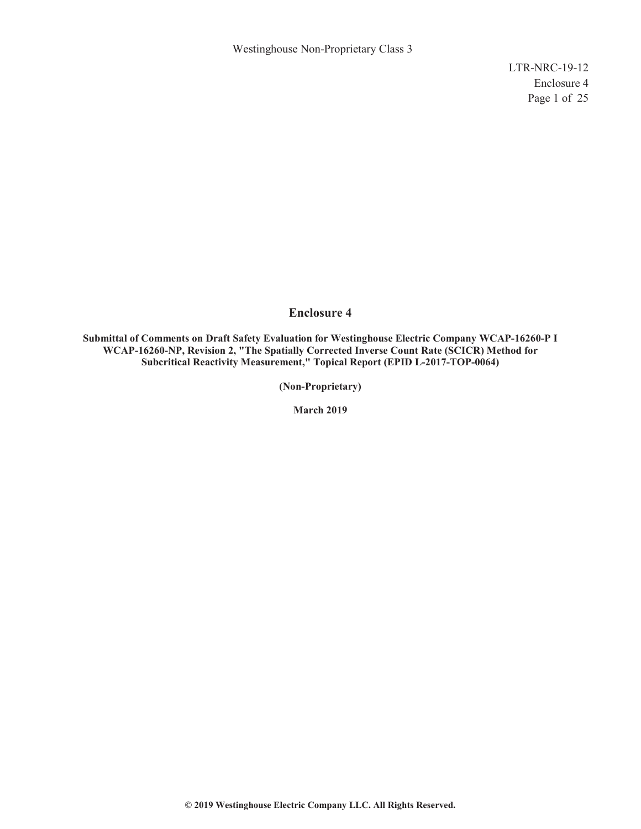Westinghouse Non-Proprietary Class 3

LTR-NRC-19-12 Enclosure 4 Page 1 of 25

#### **Enclosure 4**

**Submittal of Comments on Draft Safety Evaluation for Westinghouse Electric Company WCAP-16260-P I WCAP-16260-NP, Revision 2, "The Spatially Corrected Inverse Count Rate (SCICR) Method for Subcritical Reactivity Measurement," Topical Report (EPID L-2017-TOP-0064)**

**(Non-Proprietary)** 

**March 2019**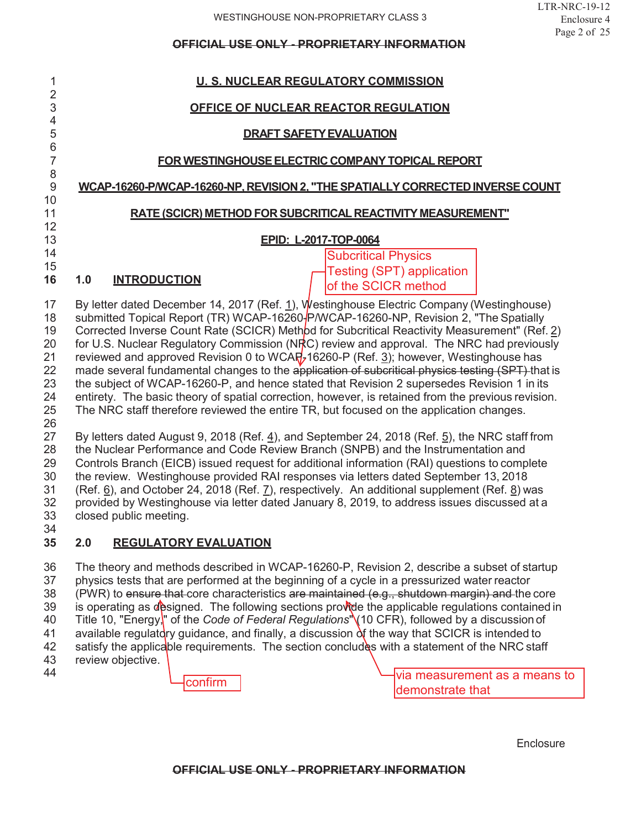| 1                   | <u>U.S. NUCLEAR REGULATORY COMMISSION</u>                                                                                                                                         |  |  |  |
|---------------------|-----------------------------------------------------------------------------------------------------------------------------------------------------------------------------------|--|--|--|
| $\overline{2}$      |                                                                                                                                                                                   |  |  |  |
| 3                   | OFFICE OF NUCLEAR REACTOR REGULATION                                                                                                                                              |  |  |  |
| $\overline{4}$<br>5 | <b>DRAFT SAFETY EVALUATION</b>                                                                                                                                                    |  |  |  |
| $\,$ 6 $\,$         |                                                                                                                                                                                   |  |  |  |
| $\overline{7}$      | FOR WESTINGHOUSE ELECTRIC COMPANY TOPICAL REPORT                                                                                                                                  |  |  |  |
| 8                   |                                                                                                                                                                                   |  |  |  |
| $\boldsymbol{9}$    | WCAP-16260-P/WCAP-16260-NP. REVISION 2. "THE SPATIALLY CORRECTED INVERSE COUNT                                                                                                    |  |  |  |
| 10<br>11            | RATE (SCICR) METHOD FOR SUBCRITICAL REACTIVITY MEASUREMENT"                                                                                                                       |  |  |  |
| 12                  |                                                                                                                                                                                   |  |  |  |
| 13                  | EPID: L-2017-TOP-0064                                                                                                                                                             |  |  |  |
| 14                  | <b>Subcritical Physics</b>                                                                                                                                                        |  |  |  |
| 15                  | <b>Testing (SPT) application</b>                                                                                                                                                  |  |  |  |
| 16                  | <b>INTRODUCTION</b><br>1.0<br>of the SCICR method                                                                                                                                 |  |  |  |
| 17                  | By letter dated December 14, 2017 (Ref. 1), Westinghouse Electric Company (Westinghouse)                                                                                          |  |  |  |
| 18                  | submitted Topical Report (TR) WCAP-16260-P/WCAP-16260-NP, Revision 2, "The Spatially                                                                                              |  |  |  |
| 19                  | Corrected Inverse Count Rate (SCICR) Method for Subcritical Reactivity Measurement" (Ref. 2)                                                                                      |  |  |  |
| 20                  | for U.S. Nuclear Regulatory Commission (NRC) review and approval. The NRC had previously                                                                                          |  |  |  |
| 21                  | reviewed and approved Revision 0 to WCAR, $16260-P$ (Ref. 3); however, Westinghouse has                                                                                           |  |  |  |
| 22                  | made several fundamental changes to the application of subcritical physics testing (SPT) that is                                                                                  |  |  |  |
| 23                  | the subject of WCAP-16260-P, and hence stated that Revision 2 supersedes Revision 1 in its                                                                                        |  |  |  |
| 24                  | entirety. The basic theory of spatial correction, however, is retained from the previous revision.                                                                                |  |  |  |
| 25                  | The NRC staff therefore reviewed the entire TR, but focused on the application changes.                                                                                           |  |  |  |
| 26                  |                                                                                                                                                                                   |  |  |  |
| 27                  | By letters dated August 9, 2018 (Ref. $4$ ), and September 24, 2018 (Ref. $5$ ), the NRC staff from                                                                               |  |  |  |
| 28<br>29            | the Nuclear Performance and Code Review Branch (SNPB) and the Instrumentation and<br>Controls Branch (EICB) issued request for additional information (RAI) questions to complete |  |  |  |
| 30                  | the review. Westinghouse provided RAI responses via letters dated September 13, 2018                                                                                              |  |  |  |
| 31                  | (Ref. $\underline{6}$ ), and October 24, 2018 (Ref. $\underline{7}$ ), respectively. An additional supplement (Ref. $\underline{8}$ ) was                                         |  |  |  |
| 32                  | provided by Westinghouse via letter dated January 8, 2019, to address issues discussed at a                                                                                       |  |  |  |
| 33                  | closed public meeting.                                                                                                                                                            |  |  |  |
| 34                  |                                                                                                                                                                                   |  |  |  |
| 35                  | 2.0<br><b>REGULATORY EVALUATION</b>                                                                                                                                               |  |  |  |
| 36                  | The theory and methods described in WCAP-16260-P, Revision 2, describe a subset of startup                                                                                        |  |  |  |

37 physics tests that are performed at the beginning of a cycle in a pressurized water reactor<br>38 (PWR) to ensure that core characteristics are maintained (e.g., shutdown margin) and the (PWR) to ensure that core characteristics are maintained (e.g., shutdown margin) and the core 39 is operating as designed. The following sections provide the applicable regulations contained in 40 Title 10, "Energy," of the *Code of Federal Regulations*" (10 CFR), followed by a discussion of 41 available regulatory guidance, and finally, a discussion  $\delta$ f the way that SCICR is intended to 42 satisfy the applicable requirements. The section concludes with a statement of the NRC staf satisfy the applicable requirements. The section concludes with a statement of the NRC staff 43 review objective.

44

via measurement as a means to **confirm** demonstrate that confirm

**Enclosure**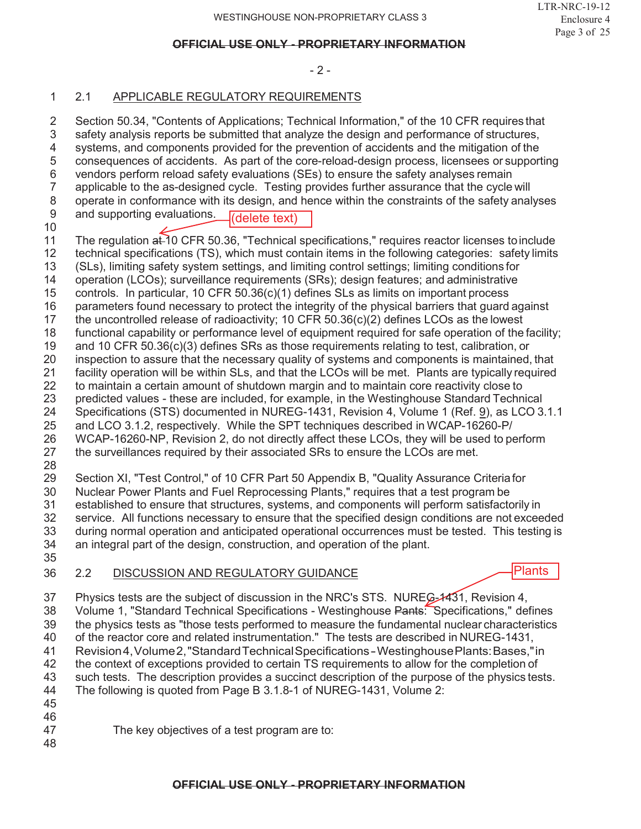#### - 2 -

## 2.1 APPLICABLE REGULATORY REQUIREMENTS

2 Section 50.34, "Contents of Applications; Technical Information," of the 10 CFR requires that<br>3 safety analysis reports be submitted that analyze the design and performance of structures, safety analysis reports be submitted that analyze the design and performance of structures, systems, and components provided for the prevention of accidents and the mitigation of the consequences of accidents. As part of the core-reload-design process, licensees or supporting 6 vendors perform reload safety evaluations (SEs) to ensure the safety analyses remain<br>7 applicable to the as-designed cycle. Testing provides further assurance that the cycle applicable to the as-designed cycle. Testing provides further assurance that the cycle will operate in conformance with its design, and hence within the constraints of the safety analyses and supporting evaluations. (delete text)

- 11 The regulation at 10 CFR 50.36, "Technical specifications," requires reactor licenses to include<br>12 technical specifications (TS), which must contain items in the following categories: safety limits technical specifications (TS), which must contain items in the following categories: safety limits
- (SLs), limiting safety system settings, and limiting control settings; limiting conditions for
- operation (LCOs); surveillance requirements (SRs); design features; and administrative
- controls. In particular, 10 CFR 50.36(c)(1) defines SLs as limits on important process
- 
- 16 parameters found necessary to protect the integrity of the physical barriers that guard against<br>17 the uncontrolled release of radioactivity: 10 CFR 50.36(c)(2) defines LCOs as the lowest the uncontrolled release of radioactivity; 10 CFR  $50.36(c)(2)$  defines LCOs as the lowest
- functional capability or performance level of equipment required for safe operation of the facility;
- and 10 CFR 50.36(c)(3) defines SRs as those requirements relating to test, calibration, or
- inspection to assure that the necessary quality of systems and components is maintained, that
- facility operation will be within SLs, and that the LCOs will be met. Plants are typically required
- to maintain a certain amount of shutdown margin and to maintain core reactivity close to predicted values - these are included, for example, in the Westinghouse Standard Technical
- Specifications (STS) documented in NUREG-1431, Revision 4, Volume 1 (Ref. 9), as LCO 3.1.1
- and LCO 3.1.2, respectively. While the SPT techniques described in WCAP-16260-P/
- WCAP-16260-NP, Revision 2, do not directly affect these LCOs, they will be used to perform the surveillances required by their associated SRs to ensure the LCOs are met.
- 

Section XI, "Test Control," of 10 CFR Part 50 Appendix B, "Quality Assurance Criteriafor

- Nuclear Power Plants and Fuel Reprocessing Plants," requires that a test program be established to ensure that structures, systems, and components will perform satisfactorily in service. All functions necessary to ensure that the specified design conditions are not exceeded during normal operation and anticipated operational occurrences must be tested. This testing is an integral part of the design, construction, and operation of the plant.
- 

# 2.2 DISCUSSION AND REGULATORY GUIDANCE



 Physics tests are the subject of discussion in the NRC's STS. NUREG-1431, Revision 4, Volume 1, "Standard Technical Specifications - Westinghouse Pants: Specifications," defines the physics tests as "those tests performed to measure the fundamental nuclear characteristics of the reactor core and related instrumentation." The tests are described in NUREG-1431, 41 Revision 4, Volume 2, "Standard Technical Specifications - Westinghouse Plants: Bases," in<br>42 the context of exceptions provided to certain TS requirements to allow for the completion of the context of exceptions provided to certain TS requirements to allow for the completion of such tests. The description provides a succinct description of the purpose of the physics tests. The following is quoted from Page B 3.1.8-1 of NUREG-1431, Volume 2: The key objectives of a test program are to: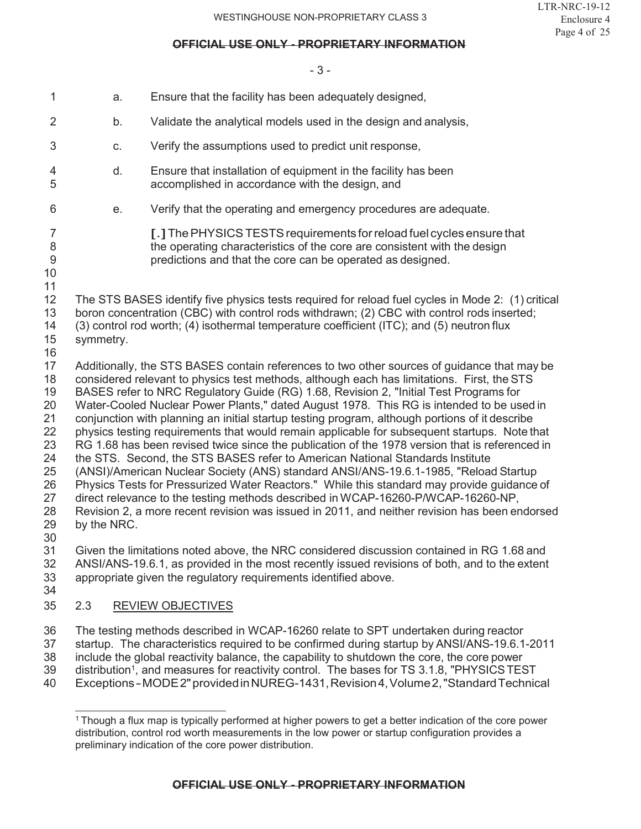#### - 3 -

| 1                                                                                | a.          | Ensure that the facility has been adequately designed,                                                                                                                                                                                                                                                                                                                                                                                                                                                                                                                                                                                                                                                                                                                                                                                                                                                                                                                                                                                                                                                                                         |
|----------------------------------------------------------------------------------|-------------|------------------------------------------------------------------------------------------------------------------------------------------------------------------------------------------------------------------------------------------------------------------------------------------------------------------------------------------------------------------------------------------------------------------------------------------------------------------------------------------------------------------------------------------------------------------------------------------------------------------------------------------------------------------------------------------------------------------------------------------------------------------------------------------------------------------------------------------------------------------------------------------------------------------------------------------------------------------------------------------------------------------------------------------------------------------------------------------------------------------------------------------------|
| 2                                                                                | b.          | Validate the analytical models used in the design and analysis,                                                                                                                                                                                                                                                                                                                                                                                                                                                                                                                                                                                                                                                                                                                                                                                                                                                                                                                                                                                                                                                                                |
| 3                                                                                | C.          | Verify the assumptions used to predict unit response,                                                                                                                                                                                                                                                                                                                                                                                                                                                                                                                                                                                                                                                                                                                                                                                                                                                                                                                                                                                                                                                                                          |
| 4<br>5                                                                           | d.          | Ensure that installation of equipment in the facility has been<br>accomplished in accordance with the design, and                                                                                                                                                                                                                                                                                                                                                                                                                                                                                                                                                                                                                                                                                                                                                                                                                                                                                                                                                                                                                              |
| 6                                                                                | е.          | Verify that the operating and emergency procedures are adequate.                                                                                                                                                                                                                                                                                                                                                                                                                                                                                                                                                                                                                                                                                                                                                                                                                                                                                                                                                                                                                                                                               |
| 7<br>8<br>$\overline{9}$<br>10<br>11                                             |             | [.] The PHYSICS TESTS requirements for reload fuel cycles ensure that<br>the operating characteristics of the core are consistent with the design<br>predictions and that the core can be operated as designed.                                                                                                                                                                                                                                                                                                                                                                                                                                                                                                                                                                                                                                                                                                                                                                                                                                                                                                                                |
| 12<br>13<br>14<br>15<br>16                                                       | symmetry.   | The STS BASES identify five physics tests required for reload fuel cycles in Mode 2: (1) critical<br>boron concentration (CBC) with control rods withdrawn; (2) CBC with control rods inserted;<br>(3) control rod worth; (4) isothermal temperature coefficient (ITC); and (5) neutron flux                                                                                                                                                                                                                                                                                                                                                                                                                                                                                                                                                                                                                                                                                                                                                                                                                                                   |
| 17<br>18<br>19<br>20<br>21<br>22<br>23<br>24<br>25<br>26<br>27<br>28<br>29<br>30 | by the NRC. | Additionally, the STS BASES contain references to two other sources of guidance that may be<br>considered relevant to physics test methods, although each has limitations. First, the STS<br>BASES refer to NRC Regulatory Guide (RG) 1.68, Revision 2, "Initial Test Programs for<br>Water-Cooled Nuclear Power Plants," dated August 1978. This RG is intended to be used in<br>conjunction with planning an initial startup testing program, although portions of it describe<br>physics testing requirements that would remain applicable for subsequent startups. Note that<br>RG 1.68 has been revised twice since the publication of the 1978 version that is referenced in<br>the STS. Second, the STS BASES refer to American National Standards Institute<br>(ANSI)/American Nuclear Society (ANS) standard ANSI/ANS-19.6.1-1985, "Reload Startup<br>Physics Tests for Pressurized Water Reactors." While this standard may provide guidance of<br>direct relevance to the testing methods described in WCAP-16260-P/WCAP-16260-NP,<br>Revision 2, a more recent revision was issued in 2011, and neither revision has been endorsed |
| 31<br>32<br>33<br>34                                                             |             | Given the limitations noted above, the NRC considered discussion contained in RG 1.68 and<br>ANSI/ANS-19.6.1, as provided in the most recently issued revisions of both, and to the extent<br>appropriate given the regulatory requirements identified above.                                                                                                                                                                                                                                                                                                                                                                                                                                                                                                                                                                                                                                                                                                                                                                                                                                                                                  |
| 35                                                                               | 2.3         | <b>REVIEW OBJECTIVES</b>                                                                                                                                                                                                                                                                                                                                                                                                                                                                                                                                                                                                                                                                                                                                                                                                                                                                                                                                                                                                                                                                                                                       |
| 36<br>37<br>38<br>39<br>40                                                       |             | The testing methods described in WCAP-16260 relate to SPT undertaken during reactor<br>startup. The characteristics required to be confirmed during startup by ANSI/ANS-19.6.1-2011<br>include the global reactivity balance, the capability to shutdown the core, the core power<br>distribution <sup>1</sup> , and measures for reactivity control. The bases for TS 3.1.8, "PHYSICS TEST<br>Exceptions-MODE2" provided in NUREG-1431, Revision 4, Volume 2, "Standard Technical                                                                                                                                                                                                                                                                                                                                                                                                                                                                                                                                                                                                                                                             |

 $^{\rm 1}$ Though a flux map is typically performed at higher powers to get a better indication of the core power distribution, control rod worth measurements in the low power or startup configuration provides a preliminary indication of the core power distribution.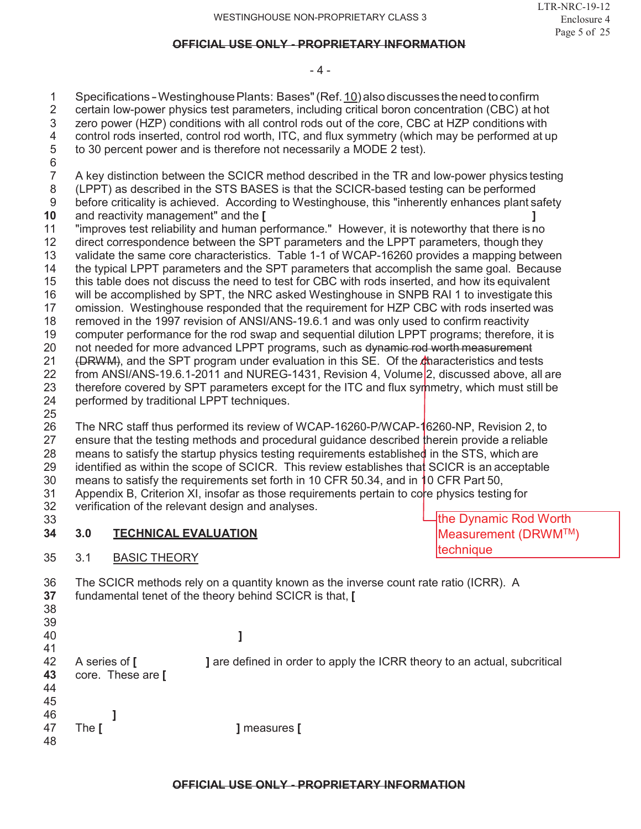#### - 4 -

1 Specifications - Westinghouse Plants: Bases" (Ref. 10) also discusses the need to confirm<br>2 certain low-power physics test parameters, including critical boron concentration (CBC) at ho

2 certain low-power physics test parameters, including critical boron concentration (CBC) at hot

- 3 zero power (HZP) conditions with all control rods out of the core, CBC at HZP conditions with
- 4 control rods inserted, control rod worth, ITC, and flux symmetry (which may be performed at up<br>5 to 30 percent power and is therefore not necessarily a MODE 2 test).
- to 30 percent power and is therefore not necessarily a MODE 2 test).
- 6<br>7 7 A key distinction between the SCICR method described in the TR and low-power physics testing
- 8 (LPPT) as described in the STS BASES is that the SCICR-based testing can be performed 9 before criticality is achieved. According to Westinghouse, this "inherently enhances plant safety
- **10** and reactivity management" and the **[ ]**
- 11 "improves test reliability and human performance." However, it is noteworthy that there is no
- 12 direct correspondence between the SPT parameters and the LPPT parameters, though they<br>13 validate the same core characteristics. Table 1-1 of WCAP-16260 provides a mapping betwe validate the same core characteristics. Table 1-1 of WCAP-16260 provides a mapping between
- 14 the typical LPPT parameters and the SPT parameters that accomplish the same goal. Because
- 15 this table does not discuss the need to test for CBC with rods inserted, and how its equivalent
- 16 will be accomplished by SPT, the NRC asked Westinghouse in SNPB RAI 1 to investigate this
- 17 omission. Westinghouse responded that the requirement for HZP CBC with rods inserted was
- 18 removed in the 1997 revision of ANSI/ANS-19.6.1 and was only used to confirm reactivity
- 19 computer performance for the rod swap and sequential dilution LPPT programs; therefore, it is 20 not needed for more advanced LPPT programs, such as dynamic rod worth measurement not needed for more advanced LPPT programs, such as dynamic rod worth measurement
- 21 (DRWM), and the SPT program under evaluation in this SE. Of the characteristics and tests
- 22 from ANSI/ANS-19.6.1-2011 and NUREG-1431, Revision 4, Volume 2, discussed above, all are
- 23 therefore covered by SPT parameters except for the ITC and flux symmetry, which must still be 24 performed by traditional LPPT techniques.
- 25

 The NRC staff thus performed its review of WCAP-16260-P/WCAP-16260-NP, Revision 2, to ensure that the testing methods and procedural guidance described therein provide a reliable means to satisfy the startup physics testing requirements established in the STS, which are identified as within the scope of SCICR. This review establishes that SCICR is an acceptable 30 means to satisfy the requirements set forth in 10 CFR 50.34, and in 10 CFR Part 50,

- 31 Appendix B, Criterion XI, insofar as those requirements pertain to core physics testing for<br>32 verification of the relevant design and analyses. verification of the relevant design and analyses.
- 33
- **34 3.0 TECHNICAL EVALUATION**
- 35 3.1 BASIC THEORY

the Dynamic Rod Worth Measurement (DRWMTM) **technique** 

- 36 The SCICR methods rely on a quantity known as the inverse count rate ratio (ICRR). A **37** fundamental tenet of the theory behind SCICR is that, **[**
- 38 39

40 **]**

41 42 A series of **[ ]** are defined in order to apply the ICRR theory to an actual, subcritical **43** core. These are **[** 44 45 46 **]** 47 The **[ ]** measures **[** 48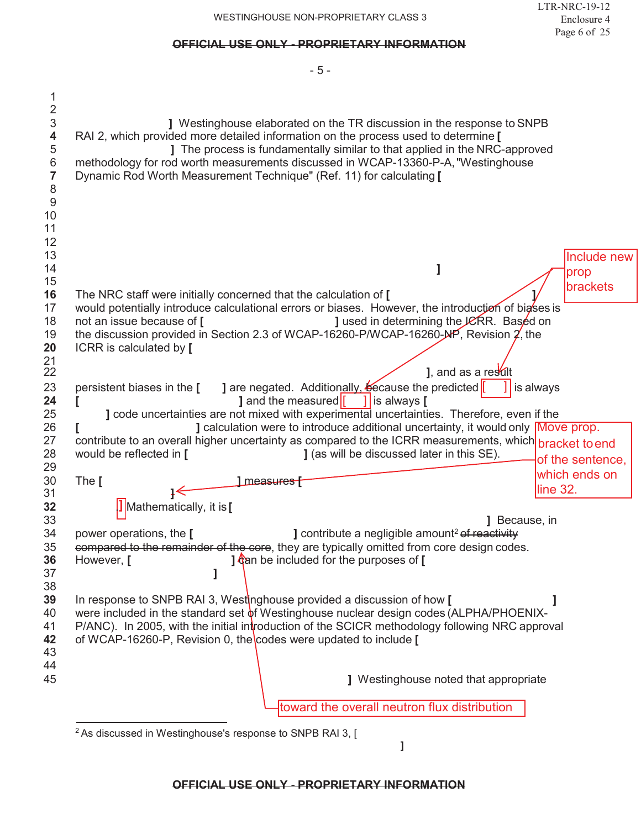#### LTR-NRC-19-12 Enclosure 4 Page 6 of 25

| ] Westinghouse elaborated on the TR discussion in the response to SNPB<br>RAI 2, which provided more detailed information on the process used to determine [<br>] The process is fundamentally similar to that applied in the NRC-approved<br>methodology for rod worth measurements discussed in WCAP-13360-P-A, "Westinghouse<br>Dynamic Rod Worth Measurement Technique" (Ref. 11) for calculating [                                                                                                                                                             |                                        |
|---------------------------------------------------------------------------------------------------------------------------------------------------------------------------------------------------------------------------------------------------------------------------------------------------------------------------------------------------------------------------------------------------------------------------------------------------------------------------------------------------------------------------------------------------------------------|----------------------------------------|
| The NRC staff were initially concerned that the calculation of [                                                                                                                                                                                                                                                                                                                                                                                                                                                                                                    | Include new<br>prop<br><b>brackets</b> |
| would potentially introduce calculational errors or biases. However, the introduction of bigses is<br>] used in determining the JCRR. Based on<br>not an issue because of [<br>the discussion provided in Section 2.3 of WCAP-16260-P/WCAP-16260- $M$ P, Revision 2, the<br>ICRR is calculated by [                                                                                                                                                                                                                                                                 |                                        |
| 1, and as a result<br>] are negated. Additionally, because the predicted<br>persistent biases in the [<br>1 is always<br>] and the measured $\begin{bmatrix} 1 \\ 1 \end{bmatrix}$ is always [<br>] code uncertainties are not mixed with experimental uncertainties. Therefore, even if the<br>] calculation were to introduce additional uncertainty, it would only Move prop.<br>contribute to an overall higher uncertainty as compared to the ICRR measurements, which bracket to end<br>would be reflected in [<br>] (as will be discussed later in this SE). | of the sentence,                       |
| The [<br>1 measures f<br><b>]</b> Mathematically, it is [<br>] Because, in                                                                                                                                                                                                                                                                                                                                                                                                                                                                                          | which ends on<br>line 32.              |
| <b>J</b> contribute a negligible amount <sup>2</sup> of reactivity<br>power operations, the [<br>compared to the remainder of the core, they are typically omitted from core design codes.<br>] can be included for the purposes of [<br>However, [                                                                                                                                                                                                                                                                                                                 |                                        |
| In response to SNPB RAI 3, Westinghouse provided a discussion of how [<br>were included in the standard set of Westinghouse nuclear design codes (ALPHA/PHOENIX-<br>P/ANC). In 2005, with the initial introduction of the SCICR methodology following NRC approval<br>of WCAP-16260-P, Revision 0, the codes were updated to include [                                                                                                                                                                                                                              |                                        |
| J Westinghouse noted that appropriate                                                                                                                                                                                                                                                                                                                                                                                                                                                                                                                               |                                        |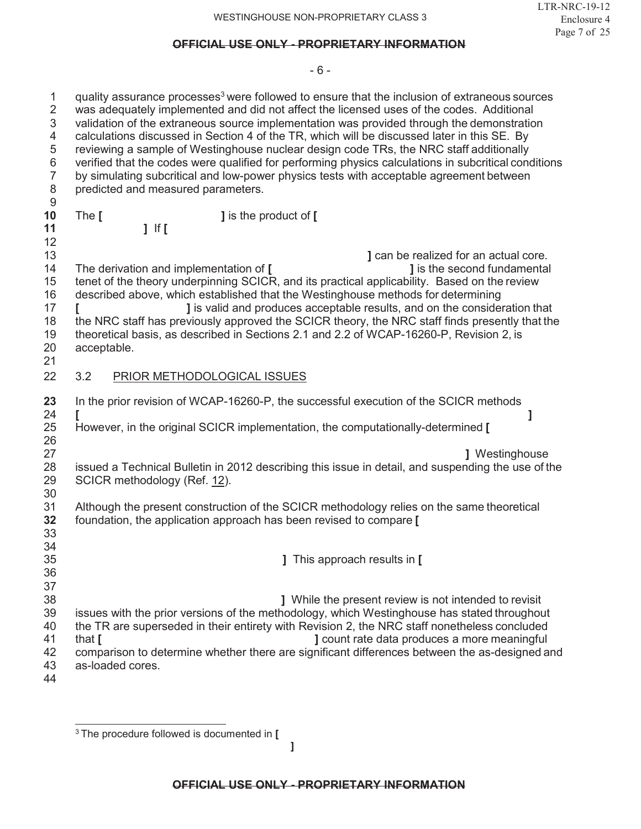### - 6 -

| $\mathbf{1}$<br>$\mathbf 2$<br>$\ensuremath{\mathsf{3}}$<br>4<br>$\mathbf 5$<br>$\,6$<br>$\overline{7}$<br>$\,8\,$ | quality assurance processes <sup>3</sup> were followed to ensure that the inclusion of extraneous sources<br>was adequately implemented and did not affect the licensed uses of the codes. Additional<br>validation of the extraneous source implementation was provided through the demonstration<br>calculations discussed in Section 4 of the TR, which will be discussed later in this SE. By<br>reviewing a sample of Westinghouse nuclear design code TRs, the NRC staff additionally<br>verified that the codes were qualified for performing physics calculations in subcritical conditions<br>by simulating subcritical and low-power physics tests with acceptable agreement between<br>predicted and measured parameters. |
|--------------------------------------------------------------------------------------------------------------------|--------------------------------------------------------------------------------------------------------------------------------------------------------------------------------------------------------------------------------------------------------------------------------------------------------------------------------------------------------------------------------------------------------------------------------------------------------------------------------------------------------------------------------------------------------------------------------------------------------------------------------------------------------------------------------------------------------------------------------------|
| 9<br>10                                                                                                            | The [<br><b>J</b> is the product of [                                                                                                                                                                                                                                                                                                                                                                                                                                                                                                                                                                                                                                                                                                |
| 11                                                                                                                 | $1$ If [                                                                                                                                                                                                                                                                                                                                                                                                                                                                                                                                                                                                                                                                                                                             |
| 12                                                                                                                 |                                                                                                                                                                                                                                                                                                                                                                                                                                                                                                                                                                                                                                                                                                                                      |
| 13<br>14<br>15<br>16<br>17<br>18<br>19<br>20<br>21                                                                 | ] can be realized for an actual core.<br><b>J</b> is the second fundamental<br>The derivation and implementation of [<br>tenet of the theory underpinning SCICR, and its practical applicability. Based on the review<br>described above, which established that the Westinghouse methods for determining<br>] is valid and produces acceptable results, and on the consideration that<br>L<br>the NRC staff has previously approved the SCICR theory, the NRC staff finds presently that the<br>theoretical basis, as described in Sections 2.1 and 2.2 of WCAP-16260-P, Revision 2, is<br>acceptable.                                                                                                                              |
| 22                                                                                                                 | 3.2<br>PRIOR METHODOLOGICAL ISSUES                                                                                                                                                                                                                                                                                                                                                                                                                                                                                                                                                                                                                                                                                                   |
| 23<br>24<br>25<br>26                                                                                               | In the prior revision of WCAP-16260-P, the successful execution of the SCICR methods<br>However, in the original SCICR implementation, the computationally-determined [                                                                                                                                                                                                                                                                                                                                                                                                                                                                                                                                                              |
| 27<br>28<br>29                                                                                                     | <b>J</b> Westinghouse<br>issued a Technical Bulletin in 2012 describing this issue in detail, and suspending the use of the<br>SCICR methodology (Ref. 12).                                                                                                                                                                                                                                                                                                                                                                                                                                                                                                                                                                          |
| 30<br>31<br>32<br>33                                                                                               | Although the present construction of the SCICR methodology relies on the same theoretical<br>foundation, the application approach has been revised to compare [                                                                                                                                                                                                                                                                                                                                                                                                                                                                                                                                                                      |
| 34<br>35<br>36                                                                                                     | ] This approach results in [                                                                                                                                                                                                                                                                                                                                                                                                                                                                                                                                                                                                                                                                                                         |
| 37<br>38<br>39<br>40<br>41<br>42<br>43<br>44                                                                       | ] While the present review is not intended to revisit<br>issues with the prior versions of the methodology, which Westinghouse has stated throughout<br>the TR are superseded in their entirety with Revision 2, the NRC staff nonetheless concluded<br>J count rate data produces a more meaningful<br>that $\mathbf I$<br>comparison to determine whether there are significant differences between the as-designed and<br>as-loaded cores.                                                                                                                                                                                                                                                                                        |

**]**

<sup>3</sup> The procedure followed is documented in **[**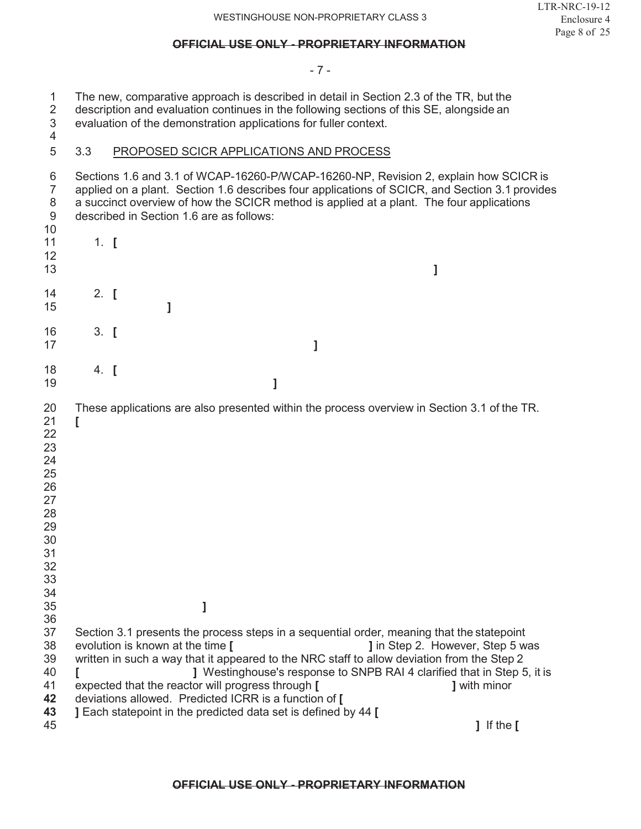- 7 -

1 The new, comparative approach is described in detail in Section 2.3 of the TR, but the description and evaluation continues in the following sections of this SE, alongside an 2 description and evaluation continues in the following sections of this SE, alongside an evaluation of the demonstration applications for fuller context. evaluation of the demonstration applications for fuller context.

## 3.3 PROPOSED SCICR APPLICATIONS AND PROCESS

| 6<br>$\overline{7}$<br>8<br>9                                                                | Sections 1.6 and 3.1 of WCAP-16260-P/WCAP-16260-NP, Revision 2, explain how SCICR is<br>applied on a plant. Section 1.6 describes four applications of SCICR, and Section 3.1 provides<br>a succinct overview of how the SCICR method is applied at a plant. The four applications<br>described in Section 1.6 are as follows:                                                                              |                                                                                                                             |
|----------------------------------------------------------------------------------------------|-------------------------------------------------------------------------------------------------------------------------------------------------------------------------------------------------------------------------------------------------------------------------------------------------------------------------------------------------------------------------------------------------------------|-----------------------------------------------------------------------------------------------------------------------------|
| 10<br>11<br>12<br>13                                                                         | $1.$ [                                                                                                                                                                                                                                                                                                                                                                                                      | 1                                                                                                                           |
| 14<br>15                                                                                     | 2. $\blacksquare$<br>1                                                                                                                                                                                                                                                                                                                                                                                      |                                                                                                                             |
| 16<br>17                                                                                     | $3.$ [<br>1                                                                                                                                                                                                                                                                                                                                                                                                 |                                                                                                                             |
| 18<br>19                                                                                     | $4.$ [<br>1                                                                                                                                                                                                                                                                                                                                                                                                 |                                                                                                                             |
| 20<br>21<br>22<br>23<br>24<br>25<br>26<br>27<br>28<br>29<br>30<br>31<br>32<br>33<br>34<br>35 | These applications are also presented within the process overview in Section 3.1 of the TR.<br>1                                                                                                                                                                                                                                                                                                            |                                                                                                                             |
| 36                                                                                           |                                                                                                                                                                                                                                                                                                                                                                                                             |                                                                                                                             |
| 37<br>38<br>39<br>40<br>41<br>42<br>43                                                       | Section 3.1 presents the process steps in a sequential order, meaning that the statepoint<br>evolution is known at the time [<br>written in such a way that it appeared to the NRC staff to allow deviation from the Step 2<br>expected that the reactor will progress through [<br>deviations allowed. Predicted ICRR is a function of [<br>] Each statepoint in the predicted data set is defined by 44 [ | J in Step 2. However, Step 5 was<br>J Westinghouse's response to SNPB RAI 4 clarified that in Step 5, it is<br>] with minor |
| 45                                                                                           |                                                                                                                                                                                                                                                                                                                                                                                                             | $\mathbf{I}$ If the $\mathbf{I}$                                                                                            |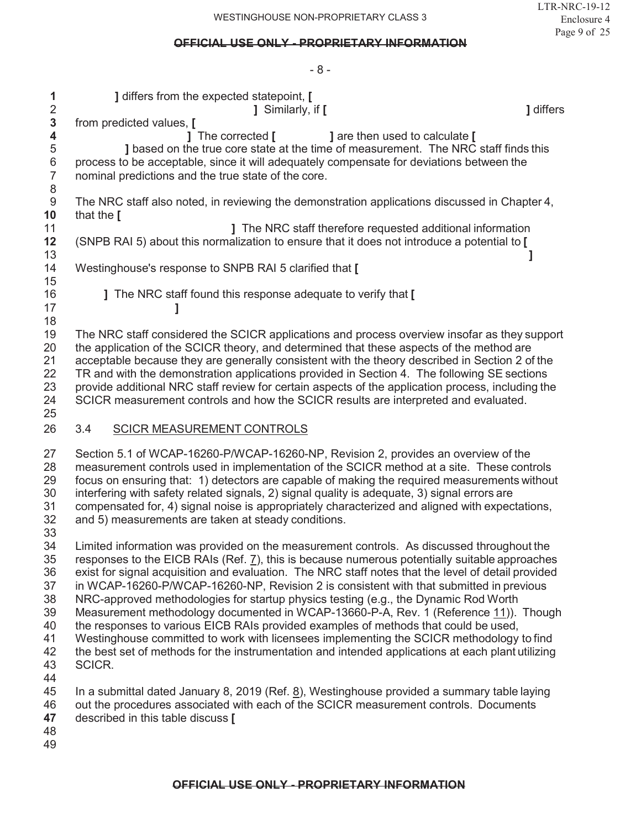$\mathsf{R}$ 

| 1<br>$\overline{2}$<br>3<br>4<br>5<br>$\,6$<br>$\overline{7}$<br>8<br>$\boldsymbol{9}$<br>10<br>11<br>12<br>13<br>14 | ] differs from the expected statepoint, [<br>] Similarly, if [<br><b>J</b> differs<br>from predicted values, [<br>1 The corrected [<br>] are then used to calculate [<br>I based on the true core state at the time of measurement. The NRC staff finds this<br>process to be acceptable, since it will adequately compensate for deviations between the<br>nominal predictions and the true state of the core.<br>The NRC staff also noted, in reviewing the demonstration applications discussed in Chapter 4,<br>that the [<br><b>J</b> The NRC staff therefore requested additional information<br>(SNPB RAI 5) about this normalization to ensure that it does not introduce a potential to [<br>Westinghouse's response to SNPB RAI 5 clarified that [                                                                                                                                                                                                                                                                                                                                                              |
|----------------------------------------------------------------------------------------------------------------------|---------------------------------------------------------------------------------------------------------------------------------------------------------------------------------------------------------------------------------------------------------------------------------------------------------------------------------------------------------------------------------------------------------------------------------------------------------------------------------------------------------------------------------------------------------------------------------------------------------------------------------------------------------------------------------------------------------------------------------------------------------------------------------------------------------------------------------------------------------------------------------------------------------------------------------------------------------------------------------------------------------------------------------------------------------------------------------------------------------------------------|
| 15<br>16                                                                                                             | ] The NRC staff found this response adequate to verify that [                                                                                                                                                                                                                                                                                                                                                                                                                                                                                                                                                                                                                                                                                                                                                                                                                                                                                                                                                                                                                                                             |
| 17                                                                                                                   |                                                                                                                                                                                                                                                                                                                                                                                                                                                                                                                                                                                                                                                                                                                                                                                                                                                                                                                                                                                                                                                                                                                           |
| 18<br>19<br>20<br>21<br>22<br>23<br>24<br>25                                                                         | The NRC staff considered the SCICR applications and process overview insofar as they support<br>the application of the SCICR theory, and determined that these aspects of the method are<br>acceptable because they are generally consistent with the theory described in Section 2 of the<br>TR and with the demonstration applications provided in Section 4. The following SE sections<br>provide additional NRC staff review for certain aspects of the application process, including the<br>SCICR measurement controls and how the SCICR results are interpreted and evaluated.                                                                                                                                                                                                                                                                                                                                                                                                                                                                                                                                     |
| 26                                                                                                                   | 3.4<br><b>SCICR MEASUREMENT CONTROLS</b>                                                                                                                                                                                                                                                                                                                                                                                                                                                                                                                                                                                                                                                                                                                                                                                                                                                                                                                                                                                                                                                                                  |
| 27<br>28<br>29<br>30<br>31<br>32                                                                                     | Section 5.1 of WCAP-16260-P/WCAP-16260-NP, Revision 2, provides an overview of the<br>measurement controls used in implementation of the SCICR method at a site. These controls<br>focus on ensuring that: 1) detectors are capable of making the required measurements without<br>interfering with safety related signals, 2) signal quality is adequate, 3) signal errors are<br>compensated for, 4) signal noise is appropriately characterized and aligned with expectations,<br>and 5) measurements are taken at steady conditions.                                                                                                                                                                                                                                                                                                                                                                                                                                                                                                                                                                                  |
| 33<br>34<br>35<br>36<br>37<br>38<br>39<br>40<br>41<br>42<br>43<br>44<br>45<br>46<br>47<br>48<br>49                   | Limited information was provided on the measurement controls. As discussed throughout the<br>responses to the EICB RAIs (Ref. $\overline{2}$ ), this is because numerous potentially suitable approaches<br>exist for signal acquisition and evaluation. The NRC staff notes that the level of detail provided<br>in WCAP-16260-P/WCAP-16260-NP, Revision 2 is consistent with that submitted in previous<br>NRC-approved methodologies for startup physics testing (e.g., the Dynamic Rod Worth<br>Measurement methodology documented in WCAP-13660-P-A, Rev. 1 (Reference 11)). Though<br>the responses to various EICB RAIs provided examples of methods that could be used,<br>Westinghouse committed to work with licensees implementing the SCICR methodology to find<br>the best set of methods for the instrumentation and intended applications at each plant utilizing<br>SCICR.<br>In a submittal dated January 8, 2019 (Ref. $8$ ), Westinghouse provided a summary table laying<br>out the procedures associated with each of the SCICR measurement controls. Documents<br>described in this table discuss [ |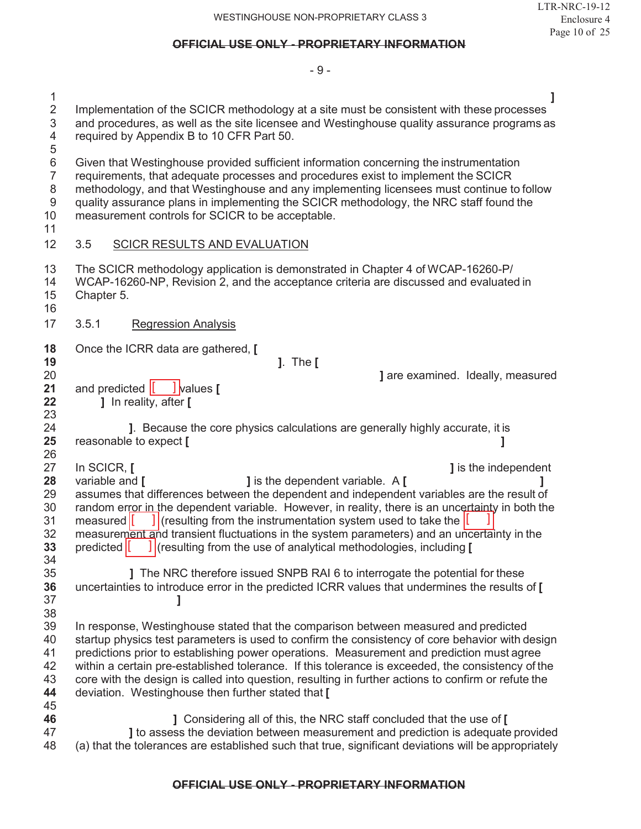|                                                                | $-9-$                                                                                                                                                                                                                                                                                                                                                                                                                  |
|----------------------------------------------------------------|------------------------------------------------------------------------------------------------------------------------------------------------------------------------------------------------------------------------------------------------------------------------------------------------------------------------------------------------------------------------------------------------------------------------|
| $\mathbf{1}$<br>$\overline{c}$<br>3<br>4<br>5                  | Implementation of the SCICR methodology at a site must be consistent with these processes<br>and procedures, as well as the site licensee and Westinghouse quality assurance programs as<br>required by Appendix B to 10 CFR Part 50.                                                                                                                                                                                  |
| 6<br>$\overline{7}$<br>$\,8\,$<br>$\boldsymbol{9}$<br>10<br>11 | Given that Westinghouse provided sufficient information concerning the instrumentation<br>requirements, that adequate processes and procedures exist to implement the SCICR<br>methodology, and that Westinghouse and any implementing licensees must continue to follow<br>quality assurance plans in implementing the SCICR methodology, the NRC staff found the<br>measurement controls for SCICR to be acceptable. |
| 12                                                             | 3.5<br><b>SCICR RESULTS AND EVALUATION</b>                                                                                                                                                                                                                                                                                                                                                                             |
| 13<br>14<br>15<br>16                                           | The SCICR methodology application is demonstrated in Chapter 4 of WCAP-16260-P/<br>WCAP-16260-NP, Revision 2, and the acceptance criteria are discussed and evaluated in<br>Chapter 5.                                                                                                                                                                                                                                 |
| 17                                                             | 3.5.1<br><b>Regression Analysis</b>                                                                                                                                                                                                                                                                                                                                                                                    |
| 18                                                             | Once the ICRR data are gathered, [                                                                                                                                                                                                                                                                                                                                                                                     |
| 19                                                             | $]$ . The $[$                                                                                                                                                                                                                                                                                                                                                                                                          |
| 20                                                             | <b>J</b> are examined. Ideally, measured                                                                                                                                                                                                                                                                                                                                                                               |
| 21<br>22                                                       | and predicted $\begin{bmatrix} 0 & 1 \end{bmatrix}$ values $\begin{bmatrix} 0 & 1 \end{bmatrix}$<br>] In reality, after [                                                                                                                                                                                                                                                                                              |
|                                                                |                                                                                                                                                                                                                                                                                                                                                                                                                        |
| 23                                                             |                                                                                                                                                                                                                                                                                                                                                                                                                        |
| 24                                                             | ]. Because the core physics calculations are generally highly accurate, it is                                                                                                                                                                                                                                                                                                                                          |
| 25<br>26                                                       | reasonable to expect [                                                                                                                                                                                                                                                                                                                                                                                                 |
| 27                                                             | In SCICR, [<br><b>J</b> is the independent                                                                                                                                                                                                                                                                                                                                                                             |
| 28                                                             | <b>J</b> is the dependent variable. A [<br>variable and [                                                                                                                                                                                                                                                                                                                                                              |
| 29                                                             | assumes that differences between the dependent and independent variables are the result of                                                                                                                                                                                                                                                                                                                             |
| 30                                                             | random error in the dependent variable. However, in reality, there is an uncertainty in both the                                                                                                                                                                                                                                                                                                                       |
| 31<br>32                                                       | $\frac{1}{2}$ (resulting from the instrumentation system used to take the $\frac{1}{2}$<br>measured                                                                                                                                                                                                                                                                                                                    |
| 33                                                             | measurement and transient fluctuations in the system parameters) and an uncertainty in the<br>predicted<br>] (resulting from the use of analytical methodologies, including [                                                                                                                                                                                                                                          |
| 34                                                             |                                                                                                                                                                                                                                                                                                                                                                                                                        |
| 35                                                             | The NRC therefore issued SNPB RAI 6 to interrogate the potential for these                                                                                                                                                                                                                                                                                                                                             |
| 36                                                             | uncertainties to introduce error in the predicted ICRR values that undermines the results of [                                                                                                                                                                                                                                                                                                                         |
| 37                                                             |                                                                                                                                                                                                                                                                                                                                                                                                                        |
| 38<br>39                                                       | In response, Westinghouse stated that the comparison between measured and predicted                                                                                                                                                                                                                                                                                                                                    |
| 40                                                             | startup physics test parameters is used to confirm the consistency of core behavior with design                                                                                                                                                                                                                                                                                                                        |
| 41                                                             | predictions prior to establishing power operations. Measurement and prediction must agree                                                                                                                                                                                                                                                                                                                              |
| 42                                                             | within a certain pre-established tolerance. If this tolerance is exceeded, the consistency of the                                                                                                                                                                                                                                                                                                                      |
| 43<br>44                                                       | core with the design is called into question, resulting in further actions to confirm or refute the                                                                                                                                                                                                                                                                                                                    |
| 45                                                             | deviation. Westinghouse then further stated that [                                                                                                                                                                                                                                                                                                                                                                     |
| 46<br>47                                                       | ] Considering all of this, the NRC staff concluded that the use of [<br>I to assess the deviation between measurement and prediction is adequate provided                                                                                                                                                                                                                                                              |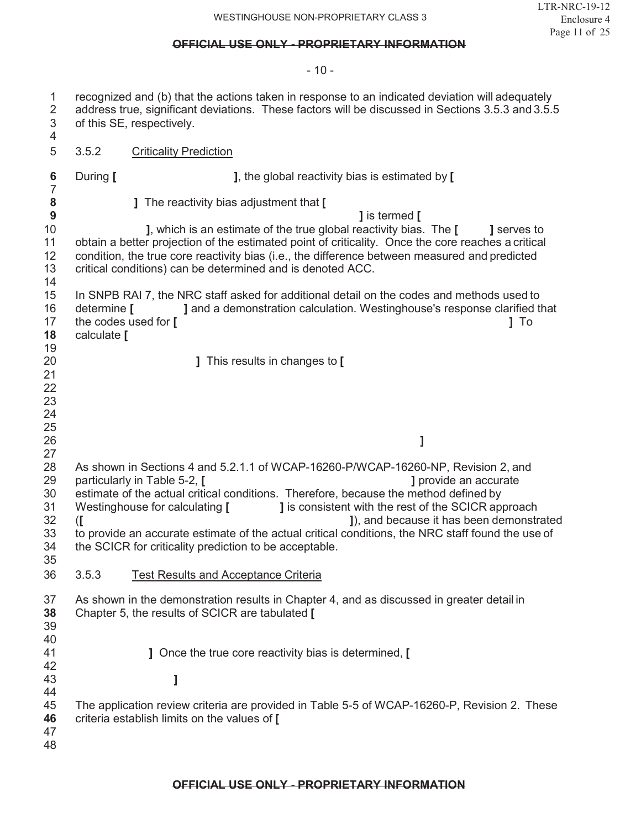- 10 -

| $\mathbf{1}$<br>$\overline{2}$<br>3<br>$\overline{4}$           |                                                           | recognized and (b) that the actions taken in response to an indicated deviation will adequately<br>address true, significant deviations. These factors will be discussed in Sections 3.5.3 and 3.5.5<br>of this SE, respectively.                                                                                                                                                                                                                                                                                                                                                                 |  |  |  |
|-----------------------------------------------------------------|-----------------------------------------------------------|---------------------------------------------------------------------------------------------------------------------------------------------------------------------------------------------------------------------------------------------------------------------------------------------------------------------------------------------------------------------------------------------------------------------------------------------------------------------------------------------------------------------------------------------------------------------------------------------------|--|--|--|
| 5                                                               | 3.5.2<br><b>Criticality Prediction</b>                    |                                                                                                                                                                                                                                                                                                                                                                                                                                                                                                                                                                                                   |  |  |  |
| 6                                                               | During [                                                  | ], the global reactivity bias is estimated by [                                                                                                                                                                                                                                                                                                                                                                                                                                                                                                                                                   |  |  |  |
| $\overline{7}$<br>8<br>$\boldsymbol{9}$<br>10<br>11<br>12<br>13 |                                                           | ] The reactivity bias adjustment that [<br>] is termed [<br>], which is an estimate of the true global reactivity bias. The [<br>] serves to<br>obtain a better projection of the estimated point of criticality. Once the core reaches a critical<br>condition, the true core reactivity bias (i.e., the difference between measured and predicted<br>critical conditions) can be determined and is denoted ACC.                                                                                                                                                                                 |  |  |  |
| 14<br>15<br>16<br>17<br>18<br>19                                | determine $\Gamma$<br>the codes used for [<br>calculate [ | In SNPB RAI 7, the NRC staff asked for additional detail on the codes and methods used to<br>] and a demonstration calculation. Westinghouse's response clarified that<br>$1$ To                                                                                                                                                                                                                                                                                                                                                                                                                  |  |  |  |
| 20<br>21<br>22<br>23                                            |                                                           | ] This results in changes to [                                                                                                                                                                                                                                                                                                                                                                                                                                                                                                                                                                    |  |  |  |
| 24<br>25                                                        |                                                           |                                                                                                                                                                                                                                                                                                                                                                                                                                                                                                                                                                                                   |  |  |  |
| 26<br>27<br>28<br>29<br>30<br>31<br>32<br>33<br>34<br>35<br>36  | $\mathcal{I}$<br>3.5.3                                    | 1<br>As shown in Sections 4 and 5.2.1.1 of WCAP-16260-P/WCAP-16260-NP, Revision 2, and<br>particularly in Table 5-2, [<br>] provide an accurate<br>estimate of the actual critical conditions. Therefore, because the method defined by<br><b>J</b> is consistent with the rest of the SCICR approach<br>Westinghouse for calculating [<br>J), and because it has been demonstrated<br>to provide an accurate estimate of the actual critical conditions, the NRC staff found the use of<br>the SCICR for criticality prediction to be acceptable.<br><b>Test Results and Acceptance Criteria</b> |  |  |  |
| 37<br>38<br>39<br>40<br>41<br>42<br>43                          |                                                           | As shown in the demonstration results in Chapter 4, and as discussed in greater detail in<br>Chapter 5, the results of SCICR are tabulated [<br>] Once the true core reactivity bias is determined, [<br>l                                                                                                                                                                                                                                                                                                                                                                                        |  |  |  |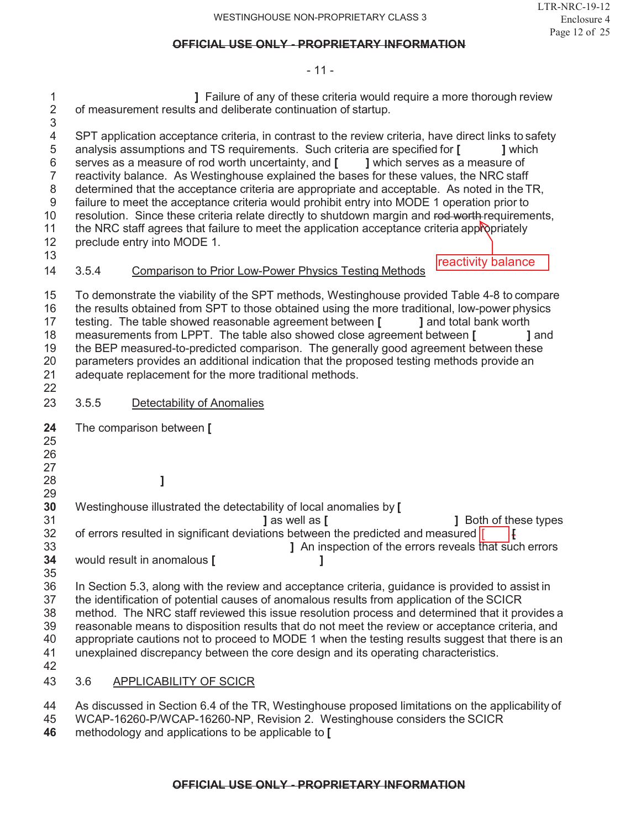$-11 -$ 

| 1<br>$\overline{2}$<br>3                                                  | J Failure of any of these criteria would require a more thorough review<br>of measurement results and deliberate continuation of startup. |                                                                                                                                                                                                                                                                                                                                                                                                                                                                                                                                                                                                                                                                                                                                                                                                                   |  |  |
|---------------------------------------------------------------------------|-------------------------------------------------------------------------------------------------------------------------------------------|-------------------------------------------------------------------------------------------------------------------------------------------------------------------------------------------------------------------------------------------------------------------------------------------------------------------------------------------------------------------------------------------------------------------------------------------------------------------------------------------------------------------------------------------------------------------------------------------------------------------------------------------------------------------------------------------------------------------------------------------------------------------------------------------------------------------|--|--|
| 4<br>5<br>6<br>$\overline{7}$<br>$\,8\,$<br>$9\,$<br>10<br>11<br>12<br>13 |                                                                                                                                           | SPT application acceptance criteria, in contrast to the review criteria, have direct links to safety<br>analysis assumptions and TS requirements. Such criteria are specified for [<br>1 which<br>serves as a measure of rod worth uncertainty, and [<br>] which serves as a measure of<br>reactivity balance. As Westinghouse explained the bases for these values, the NRC staff<br>determined that the acceptance criteria are appropriate and acceptable. As noted in the TR,<br>failure to meet the acceptance criteria would prohibit entry into MODE 1 operation prior to<br>resolution. Since these criteria relate directly to shutdown margin and rod worth requirements,<br>the NRC staff agrees that failure to meet the application acceptance criteria appropriately<br>preclude entry into MODE 1. |  |  |
| 14                                                                        | 3.5.4                                                                                                                                     | reactivity balance<br><b>Comparison to Prior Low-Power Physics Testing Methods</b>                                                                                                                                                                                                                                                                                                                                                                                                                                                                                                                                                                                                                                                                                                                                |  |  |
| 15<br>16<br>17<br>18<br>19<br>20<br>21<br>22                              |                                                                                                                                           | To demonstrate the viability of the SPT methods, Westinghouse provided Table 4-8 to compare<br>the results obtained from SPT to those obtained using the more traditional, low-power physics<br>testing. The table showed reasonable agreement between [<br>] and total bank worth<br>measurements from LPPT. The table also showed close agreement between [<br>1 and<br>the BEP measured-to-predicted comparison. The generally good agreement between these<br>parameters provides an additional indication that the proposed testing methods provide an<br>adequate replacement for the more traditional methods.                                                                                                                                                                                             |  |  |
| 23                                                                        | 3.5.5                                                                                                                                     | Detectability of Anomalies                                                                                                                                                                                                                                                                                                                                                                                                                                                                                                                                                                                                                                                                                                                                                                                        |  |  |
| 24<br>25<br>26<br>27                                                      |                                                                                                                                           | The comparison between [                                                                                                                                                                                                                                                                                                                                                                                                                                                                                                                                                                                                                                                                                                                                                                                          |  |  |
| 28<br>29                                                                  |                                                                                                                                           |                                                                                                                                                                                                                                                                                                                                                                                                                                                                                                                                                                                                                                                                                                                                                                                                                   |  |  |
| 30<br>31                                                                  |                                                                                                                                           | Westinghouse illustrated the detectability of local anomalies by [<br>1 as well as [<br>1 Both of these types                                                                                                                                                                                                                                                                                                                                                                                                                                                                                                                                                                                                                                                                                                     |  |  |
| 32<br>33<br>34                                                            |                                                                                                                                           | of errors resulted in significant deviations between the predicted and measured  <br>Ŧ<br>] An inspection of the errors reveals that such errors<br>would result in anomalous [                                                                                                                                                                                                                                                                                                                                                                                                                                                                                                                                                                                                                                   |  |  |
| 35<br>36<br>37<br>38<br>39<br>40<br>41<br>42                              |                                                                                                                                           | In Section 5.3, along with the review and acceptance criteria, guidance is provided to assist in<br>the identification of potential causes of anomalous results from application of the SCICR<br>method. The NRC staff reviewed this issue resolution process and determined that it provides a<br>reasonable means to disposition results that do not meet the review or acceptance criteria, and<br>appropriate cautions not to proceed to MODE 1 when the testing results suggest that there is an<br>unexplained discrepancy between the core design and its operating characteristics.                                                                                                                                                                                                                       |  |  |
| 43                                                                        | 3.6                                                                                                                                       | <b>APPLICABILITY OF SCICR</b>                                                                                                                                                                                                                                                                                                                                                                                                                                                                                                                                                                                                                                                                                                                                                                                     |  |  |
| 44                                                                        |                                                                                                                                           | As discussed in Section 6.4 of the TR, Westinghouse proposed limitations on the applicability of                                                                                                                                                                                                                                                                                                                                                                                                                                                                                                                                                                                                                                                                                                                  |  |  |

- WCAP-16260-P/WCAP-16260-NP, Revision 2. Westinghouse considers the SCICR
- methodology and applications to be applicable to **[**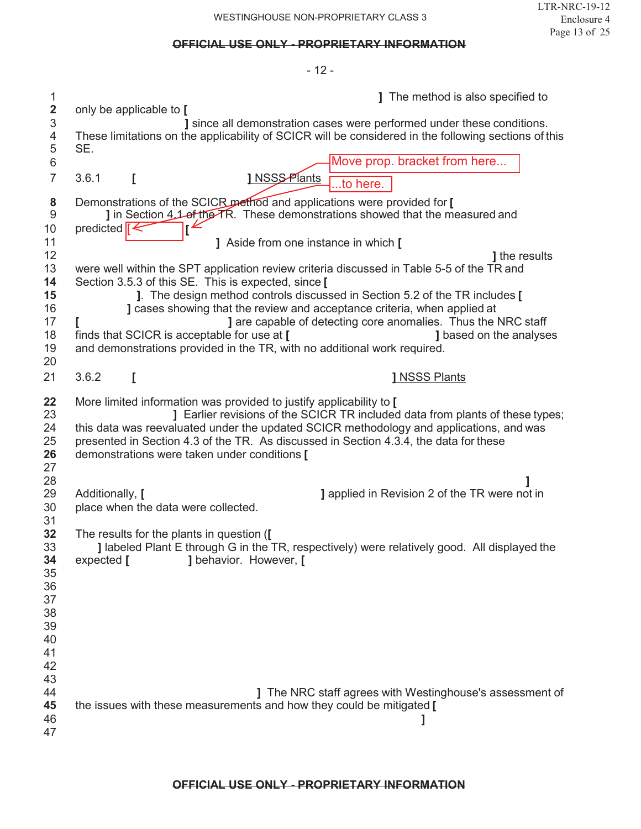|                              | - 12 -                                                                                                                                                                                                                                                                                                                                                                                   |  |
|------------------------------|------------------------------------------------------------------------------------------------------------------------------------------------------------------------------------------------------------------------------------------------------------------------------------------------------------------------------------------------------------------------------------------|--|
| 1<br>$\overline{\mathbf{2}}$ | <b>J</b> The method is also specified to<br>only be applicable to [                                                                                                                                                                                                                                                                                                                      |  |
| 3<br>4<br>5                  | ] since all demonstration cases were performed under these conditions.<br>These limitations on the applicability of SCICR will be considered in the following sections of this<br>SE.                                                                                                                                                                                                    |  |
| 6<br>$\overline{7}$          | Move prop. bracket from here<br>1 NSS <sub>S-Plants</sub><br>3.6.1<br>I                                                                                                                                                                                                                                                                                                                  |  |
|                              | .to here.                                                                                                                                                                                                                                                                                                                                                                                |  |
| 8<br>$\boldsymbol{9}$<br>10  | Demonstrations of the SCICR method and applications were provided for [<br><b>J</b> in Section 4.1 of the TR. These demonstrations showed that the measured and<br>predicted $\epsilon$                                                                                                                                                                                                  |  |
| 11<br>12                     | ] Aside from one instance in which [<br><b>J</b> the results                                                                                                                                                                                                                                                                                                                             |  |
| 13                           | were well within the SPT application review criteria discussed in Table 5-5 of the TR and                                                                                                                                                                                                                                                                                                |  |
| 14<br>15                     | Section 3.5.3 of this SE. This is expected, since [<br>]. The design method controls discussed in Section 5.2 of the TR includes [                                                                                                                                                                                                                                                       |  |
| 16                           | ] cases showing that the review and acceptance criteria, when applied at                                                                                                                                                                                                                                                                                                                 |  |
| 17<br>18                     | <b>J</b> are capable of detecting core anomalies. Thus the NRC staff<br>finds that SCICR is acceptable for use at [<br>1 based on the analyses                                                                                                                                                                                                                                           |  |
| 19                           | and demonstrations provided in the TR, with no additional work required.                                                                                                                                                                                                                                                                                                                 |  |
| 20<br>21                     | 3.6.2<br>I<br><b>1 NSSS Plants</b>                                                                                                                                                                                                                                                                                                                                                       |  |
|                              |                                                                                                                                                                                                                                                                                                                                                                                          |  |
| 22<br>23<br>24<br>25<br>26   | More limited information was provided to justify applicability to [<br>J Earlier revisions of the SCICR TR included data from plants of these types;<br>this data was reevaluated under the updated SCICR methodology and applications, and was<br>presented in Section 4.3 of the TR. As discussed in Section 4.3.4, the data for these<br>demonstrations were taken under conditions [ |  |
| 27<br>28                     |                                                                                                                                                                                                                                                                                                                                                                                          |  |
| 29<br>30                     | Additionally, [<br><b>J</b> applied in Revision 2 of the TR were not in<br>place when the data were collected.                                                                                                                                                                                                                                                                           |  |
| 31<br>32<br>33<br>34         | The results for the plants in question ([<br><b>J</b> labeled Plant E through G in the TR, respectively) were relatively good. All displayed the<br>J behavior. However, [<br>expected $\Gamma$                                                                                                                                                                                          |  |
| 35<br>36                     |                                                                                                                                                                                                                                                                                                                                                                                          |  |
| 37<br>38                     |                                                                                                                                                                                                                                                                                                                                                                                          |  |
| 39                           |                                                                                                                                                                                                                                                                                                                                                                                          |  |
| 40                           |                                                                                                                                                                                                                                                                                                                                                                                          |  |
| 41<br>42                     |                                                                                                                                                                                                                                                                                                                                                                                          |  |
| 43                           |                                                                                                                                                                                                                                                                                                                                                                                          |  |
| 44<br>45                     | <b>J</b> The NRC staff agrees with Westinghouse's assessment of<br>the issues with these measurements and how they could be mitigated [                                                                                                                                                                                                                                                  |  |
| 46<br>47                     |                                                                                                                                                                                                                                                                                                                                                                                          |  |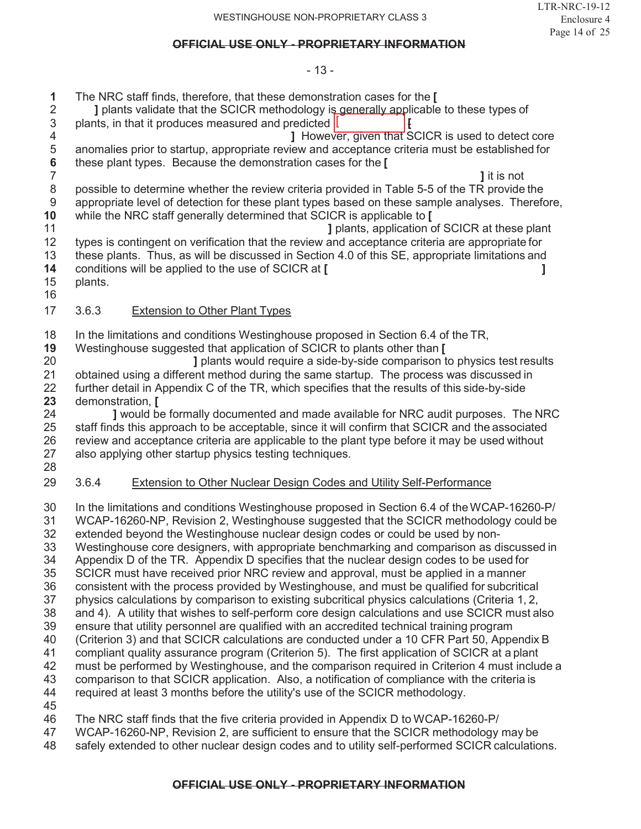#### - 13 -

- 
- $[$   $]$   $[$  The NRC staff finds, therefore, that these demonstration cases for the **[ ]** plants validate that the SCICR methodology is generally applicable to these types of 3 plants, in that it produces measured and predicted [ 4 **1** However, given that SCICR is used to detect core<br>5 **anomalies prior to startup, appropriate review and acceptance criteria must be established for** 5 anomalies prior to startup, appropriate review and acceptance criteria must be established for  $\overline{6}$  these plant types. Because the demonstration cases for the  $\overline{1}$ these plant types. Because the demonstration cases for the **[**
- **]** it is not possible to determine whether the review criteria provided in Table 5-5 of the TR provide the appropriate level of detection for these plant types based on these sample analyses. Therefore,
- while the NRC staff generally determined that SCICR is applicable to **[ ]** plants, application of SCICR at these plant
- types is contingent on verification that the review and acceptance criteria are appropriate for these plants. Thus, as will be discussed in Section 4.0 of this SE, appropriate limitations and conditions will be applied to the use of SCICR at **[ ]**
- plants.

## 3.6.3 Extension to Other Plant Types

- 18 In the limitations and conditions Westinghouse proposed in Section 6.4 of the TR,<br>19 Westinghouse suggested that application of SCICR to plants other than I
- Westinghouse suggested that application of SCICR to plants other than **[**
- **]** plants would require a side-by-side comparison to physics test results obtained using a different method during the same startup. The process was discussed in further detail in Appendix C of the TR, which specifies that the results of this side-by-side demonstration, **[**
- **]** would be formally documented and made available for NRC audit purposes. The NRC staff finds this approach to be acceptable, since it will confirm that SCICR and the associated review and acceptance criteria are applicable to the plant type before it may be used without also applying other startup physics testing techniques.
- 

## 3.6.4 Extension to Other Nuclear Design Codes and Utility Self-Performance

- In the limitations and conditions Westinghouse proposed in Section 6.4 of theWCAP-16260-P/ WCAP-16260-NP, Revision 2, Westinghouse suggested that the SCICR methodology could be extended beyond the Westinghouse nuclear design codes or could be used by non- Westinghouse core designers, with appropriate benchmarking and comparison as discussed in Appendix D of the TR. Appendix D specifies that the nuclear design codes to be used for SCICR must have received prior NRC review and approval, must be applied in a manner consistent with the process provided by Westinghouse, and must be qualified for subcritical physics calculations by comparison to existing subcritical physics calculations (Criteria 1, 2, and 4). A utility that wishes to self-perform core design calculations and use SCICR must also ensure that utility personnel are qualified with an accredited technical training program (Criterion 3) and that SCICR calculations are conducted under a 10 CFR Part 50, Appendix B compliant quality assurance program (Criterion 5). The first application of SCICR at a plant must be performed by Westinghouse, and the comparison required in Criterion 4 must include a comparison to that SCICR application. Also, a notification of compliance with the criteria is required at least 3 months before the utility's use of the SCICR methodology. The NRC staff finds that the five criteria provided in Appendix D to WCAP-16260-P/
- WCAP-16260-NP, Revision 2, are sufficient to ensure that the SCICR methodology may be
- safely extended to other nuclear design codes and to utility self-performed SCICR calculations.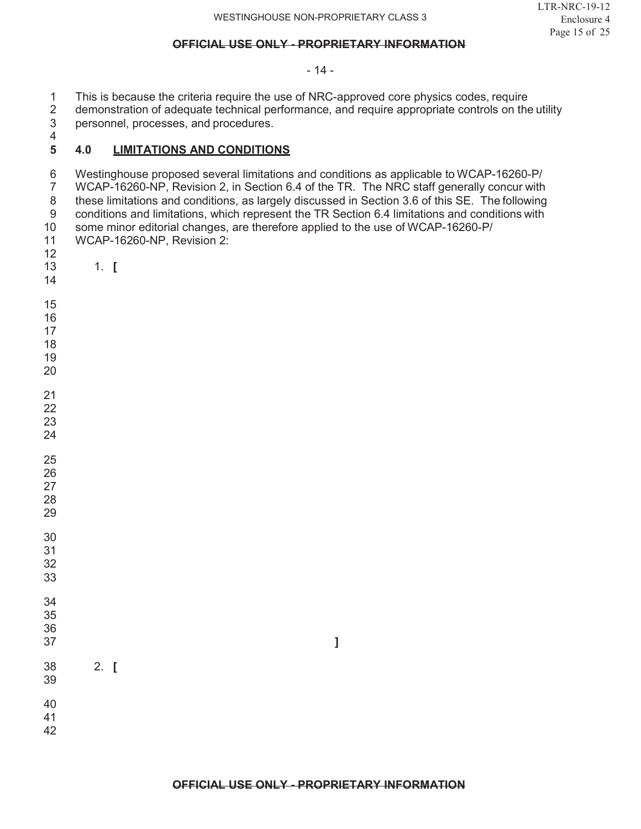- 14 -

1 This is because the criteria require the use of NRC-approved core physics codes, require<br>2 demonstration of adequate technical performance, and require appropriate controls on the 2 demonstration of adequate technical performance, and require appropriate controls on the utility<br>3 personnel, processes, and procedures.

personnel, processes, and procedures.

#### $\frac{4}{5}$ **4.0 LIMITATIONS AND CONDITIONS**

6 Westinghouse proposed several limitations and conditions as applicable to WCAP-16260-P/<br>7 WCAP-16260-NP, Revision 2, in Section 6.4 of the TR. The NRC staff generally concur with WCAP-16260-NP, Revision 2, in Section 6.4 of the TR. The NRC staff generally concur with 8 these limitations and conditions, as largely discussed in Section 3.6 of this SE. The following<br>9 conditions and limitations, which represent the TR Section 6.4 limitations and conditions with 9 conditions and limitations, which represent the TR Section 6.4 limitations and conditions with<br>10 some minor editorial changes, are therefore applied to the use of WCAP-16260-P/ some minor editorial changes, are therefore applied to the use of WCAP-16260-P/ WCAP-16260-NP, Revision 2: 

- 1. **[**
- 
- 
- 
- 
- 
- 
- 
- 
- 
- 
- 
- 
- 
- 
- 
- 
- 
- 
- 
- 
- **]**
- 2. **[**
- 
- 
- 
-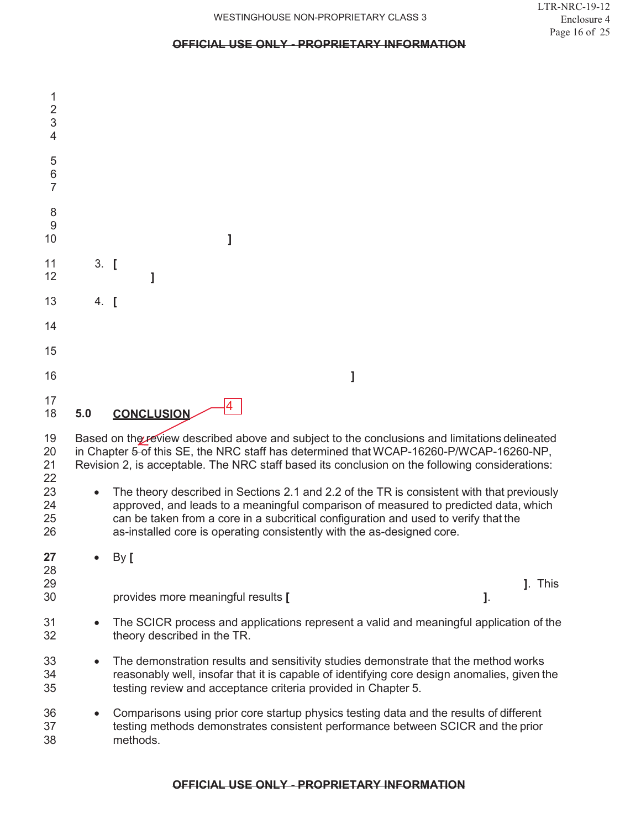| 1<br>$\overline{2}$<br>3<br>4 |           |                                                                                                                                                                                                                                                                                                                                                   |
|-------------------------------|-----------|---------------------------------------------------------------------------------------------------------------------------------------------------------------------------------------------------------------------------------------------------------------------------------------------------------------------------------------------------|
| 5<br>6<br>7                   |           |                                                                                                                                                                                                                                                                                                                                                   |
| 8<br>9<br>10                  |           | l                                                                                                                                                                                                                                                                                                                                                 |
| 11<br>12                      | $3.$ [    |                                                                                                                                                                                                                                                                                                                                                   |
| 13                            | $4.$ [    |                                                                                                                                                                                                                                                                                                                                                   |
| 14                            |           |                                                                                                                                                                                                                                                                                                                                                   |
| 15                            |           |                                                                                                                                                                                                                                                                                                                                                   |
| 16                            |           | 1                                                                                                                                                                                                                                                                                                                                                 |
| 17<br>18                      | 5.0       | <b>CONCLUSION</b>                                                                                                                                                                                                                                                                                                                                 |
| 19<br>20<br>21<br>22          |           | Based on the review described above and subject to the conclusions and limitations delineated<br>in Chapter 5-of this SE, the NRC staff has determined that WCAP-16260-P/WCAP-16260-NP,<br>Revision 2, is acceptable. The NRC staff based its conclusion on the following considerations:                                                         |
| 23<br>24<br>25<br>26          |           | The theory described in Sections 2.1 and 2.2 of the TR is consistent with that previously<br>approved, and leads to a meaningful comparison of measured to predicted data, which<br>can be taken from a core in a subcritical configuration and used to verify that the<br>as-installed core is operating consistently with the as-designed core. |
| 27                            |           | By [                                                                                                                                                                                                                                                                                                                                              |
| 28<br>29<br>30                |           | J. This<br>provides more meaningful results [<br>J.                                                                                                                                                                                                                                                                                               |
| 31<br>32                      |           | The SCICR process and applications represent a valid and meaningful application of the<br>theory described in the TR.                                                                                                                                                                                                                             |
| 33<br>34<br>35                | $\bullet$ | The demonstration results and sensitivity studies demonstrate that the method works<br>reasonably well, insofar that it is capable of identifying core design anomalies, given the<br>testing review and acceptance criteria provided in Chapter 5.                                                                                               |
| 36<br>37<br>38                | $\bullet$ | Comparisons using prior core startup physics testing data and the results of different<br>testing methods demonstrates consistent performance between SCICR and the prior<br>methods.                                                                                                                                                             |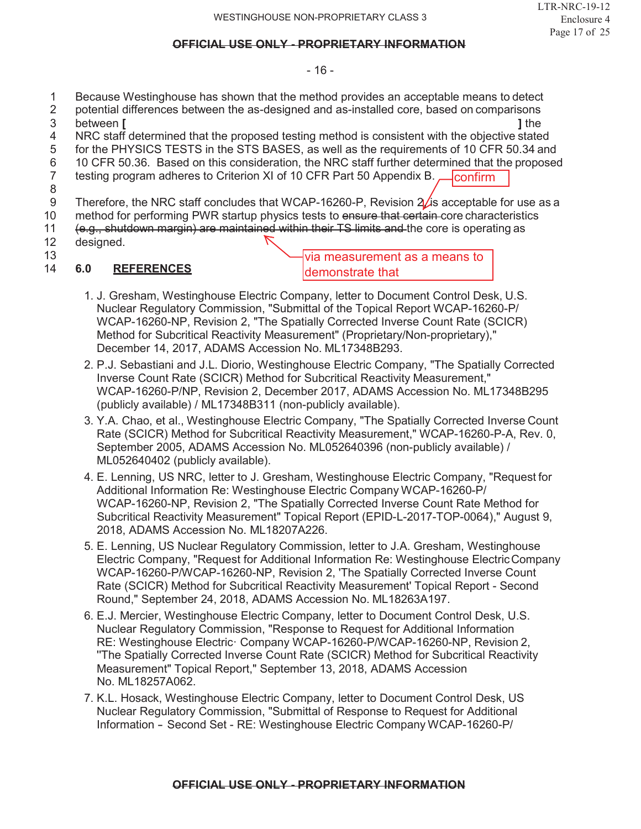#### - 16 -

- 1 Because Westinghouse has shown that the method provides an acceptable means to detect
- 2 potential differences between the as-designed and as-installed core, based on comparisons
- 3 between **[ ]** the
- 4 NRC staff determined that the proposed testing method is consistent with the objective stated<br>5 for the PHYSICS TESTS in the STS BASES, as well as the requirements of 10 CFR 50.34 and for the PHYSICS TESTS in the STS BASES, as well as the requirements of 10 CFR 50.34 and
- 
- 6 10 CFR 50.36. Based on this consideration, the NRC staff further determined that the proposed testing proposed testing proposed testing proposed testing proposed testing proposed testing program adheres to Criterion XI of 10 CFR Part 50 Appendix B.
- 8 confirm
- 9 Therefore, the NRC staff concludes that WCAP-16260-P, Revision  $2/$ is acceptable for use as a
- 10 method for performing PWR startup physics tests to ensure that certain-core characteristics
- 11 (e.g., shutdown margin) are maintained within their TS limits and the core is operating as  $\log$
- designed.
- 13

## 14 **6.0 REFERENCES**

via measurement as a means to demonstrate that

- 1. J. Gresham, Westinghouse Electric Company, letter to Document Control Desk, U.S. Nuclear Regulatory Commission, "Submittal of the Topical Report WCAP-16260-P/ WCAP-16260-NP, Revision 2, "The Spatially Corrected Inverse Count Rate (SCICR) Method for Subcritical Reactivity Measurement" (Proprietary/Non-proprietary)," December 14, 2017, ADAMS Accession No. ML17348B293.
- 2. P.J. Sebastiani and J.L. Diorio, Westinghouse Electric Company, "The Spatially Corrected Inverse Count Rate (SCICR) Method for Subcritical Reactivity Measurement," WCAP-16260-P/NP, Revision 2, December 2017, ADAMS Accession No. ML17348B295 (publicly available) / ML17348B311 (non-publicly available).
- 3. Y.A. Chao, et al., Westinghouse Electric Company, "The Spatially Corrected Inverse Count Rate (SCICR) Method for Subcritical Reactivity Measurement," WCAP-16260-P-A, Rev. 0, September 2005, ADAMS Accession No. ML052640396 (non-publicly available) / ML052640402 (publicly available).
- 4. E. Lenning, US NRC, letter to J. Gresham, Westinghouse Electric Company, "Request for Additional Information Re: Westinghouse Electric Company WCAP-16260-P/ WCAP-16260-NP, Revision 2, "The Spatially Corrected Inverse Count Rate Method for Subcritical Reactivity Measurement" Topical Report (EPID-L-2017-TOP-0064)," August 9, 2018, ADAMS Accession No. ML18207A226.
- 5. E. Lenning, US Nuclear Regulatory Commission, letter to J.A. Gresham, Westinghouse Electric Company, "Request for Additional Information Re: Westinghouse ElectricCompany WCAP-16260-P/WCAP-16260-NP, Revision 2, 'The Spatially Corrected Inverse Count Rate (SCICR) Method for Subcritical Reactivity Measurement' Topical Report - Second Round," September 24, 2018, ADAMS Accession No. ML18263A197.
- 6. E.J. Mercier, Westinghouse Electric Company, letter to Document Control Desk, U.S. Nuclear Regulatory Commission, "Response to Request for Additional Information RE: Westinghouse Electric· Company WCAP-16260-P/WCAP-16260-NP, Revision 2, ''The Spatially Corrected Inverse Count Rate (SCICR) Method for Subcritical Reactivity Measurement" Topical Report," September 13, 2018, ADAMS Accession No. ML18257A062.
- 7. K.L. Hosack, Westinghouse Electric Company, letter to Document Control Desk, US Nuclear Regulatory Commission, "Submittal of Response to Request for Additional Information - Second Set - RE: Westinghouse Electric Company WCAP-16260-P/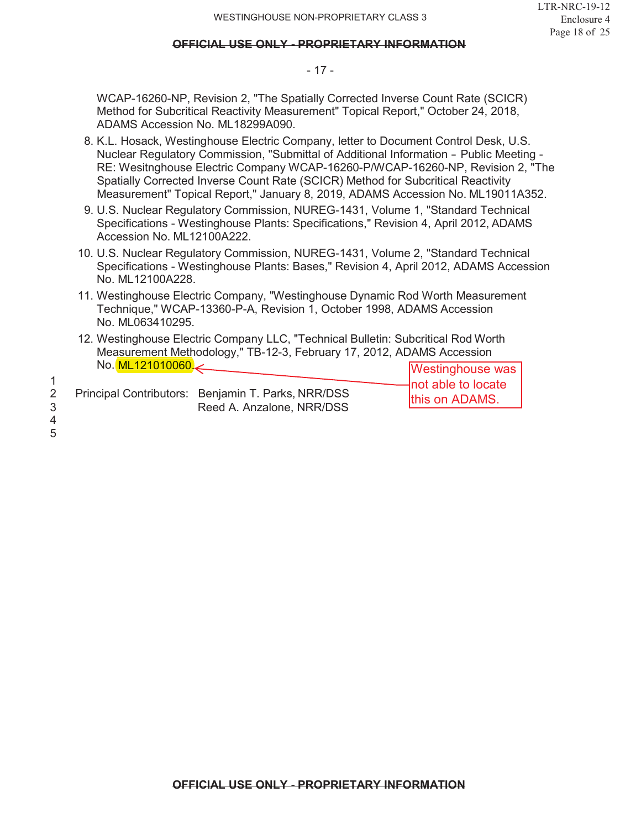#### - 17 -

WCAP-16260-NP, Revision 2, "The Spatially Corrected Inverse Count Rate (SCICR) Method for Subcritical Reactivity Measurement" Topical Report," October 24, 2018, ADAMS Accession No. ML18299A090.

- 8. K.L. Hosack, Westinghouse Electric Company, letter to Document Control Desk, U.S. Nuclear Regulatory Commission, "Submittal of Additional Information - Public Meeting - RE: Wesitnghouse Electric Company WCAP-16260-P/WCAP-16260-NP, Revision 2, "The Spatially Corrected Inverse Count Rate (SCICR) Method for Subcritical Reactivity Measurement" Topical Report," January 8, 2019, ADAMS Accession No. ML19011A352.
- 9. U.S. Nuclear Regulatory Commission, NUREG-1431, Volume 1, "Standard Technical Specifications - Westinghouse Plants: Specifications," Revision 4, April 2012, ADAMS Accession No. ML12100A222.
- 10. U.S. Nuclear Regulatory Commission, NUREG-1431, Volume 2, "Standard Technical Specifications - Westinghouse Plants: Bases," Revision 4, April 2012, ADAMS Accession No. ML12100A228.
- 11. Westinghouse Electric Company, "Westinghouse Dynamic Rod Worth Measurement Technique," WCAP-13360-P-A, Revision 1, October 1998, ADAMS Accession No. ML063410295.
- 12. Westinghouse Electric Company LLC, "Technical Bulletin: Subcritical Rod Worth Measurement Methodology," TB-12-3, February 17, 2012, ADAMS Accession No. **ML 121010060**

| No. ML121010060. |                                                                                 | <b>Westinghouse was</b>                |
|------------------|---------------------------------------------------------------------------------|----------------------------------------|
|                  | Principal Contributors: Benjamin T. Parks, NRR/DSS<br>Reed A. Anzalone, NRR/DSS | -Inot able to locate<br>this on ADAMS. |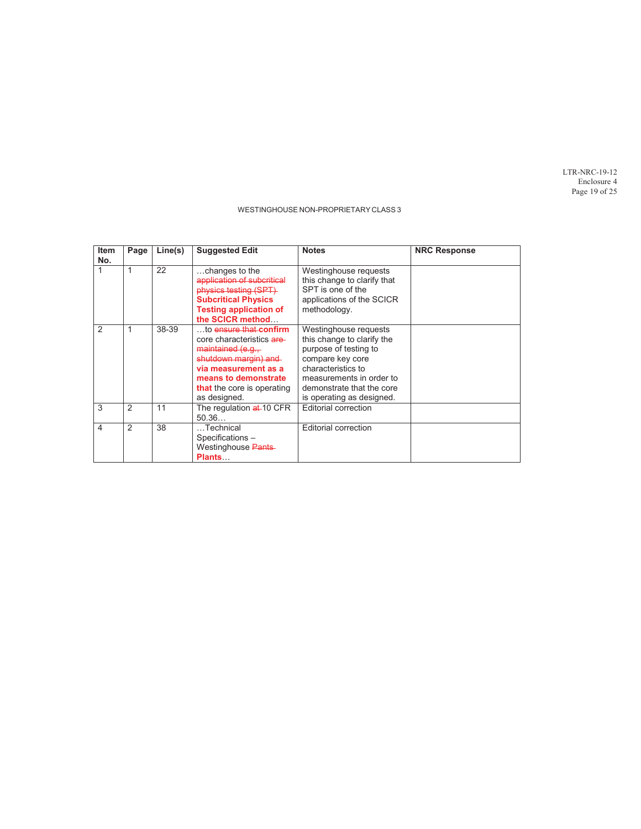LTR-NRC-19-12 Enclosure 4 Page 19 of 25

| <b>Item</b><br>No. | Page | Line(s) | <b>Suggested Edit</b>                                                                                                                                                                         | <b>Notes</b>                                                                                                                                                                                                 | <b>NRC Response</b> |
|--------------------|------|---------|-----------------------------------------------------------------------------------------------------------------------------------------------------------------------------------------------|--------------------------------------------------------------------------------------------------------------------------------------------------------------------------------------------------------------|---------------------|
|                    | 1    | 22      | $\dots$ changes to the<br>application of subcritical<br>physics testing (SPT)<br><b>Subcritical Physics</b><br><b>Testing application of</b><br>the SCICR method                              | Westinghouse requests<br>this change to clarify that<br>SPT is one of the<br>applications of the SCICR<br>methodology.                                                                                       |                     |
| $\mathfrak{D}$     | 1    | 38-39   | to ensure that confirm<br>core characteristics are<br>maintained (e.g.,<br>shutdown margin) and<br>via measurement as a<br>means to demonstrate<br>that the core is operating<br>as designed. | Westinghouse requests<br>this change to clarify the<br>purpose of testing to<br>compare key core<br>characteristics to<br>measurements in order to<br>demonstrate that the core<br>is operating as designed. |                     |
| 3                  | 2    | 11      | The regulation at 10 CFR<br>50.36                                                                                                                                                             | <b>Editorial correction</b>                                                                                                                                                                                  |                     |
| 4                  | 2    | 38      | Technical<br>Specifications -<br>Westinghouse Pants<br><b>Plants</b>                                                                                                                          | <b>Editorial correction</b>                                                                                                                                                                                  |                     |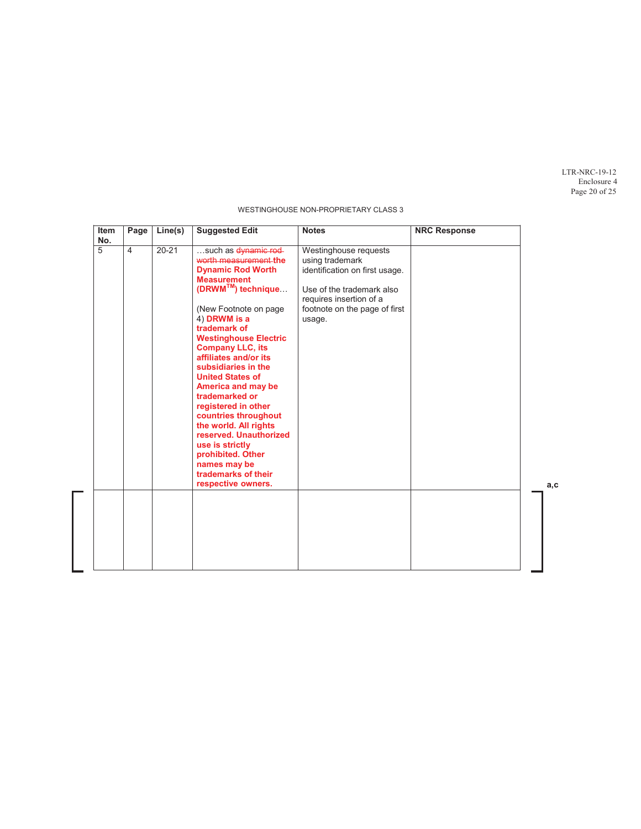LTR-NRC-19-12 Enclosure 4 Page 20 of 25

| Item<br>No. | Page           | Line(s)   | <b>Suggested Edit</b>                                                                                                                                                                                                                                                                                                                                                                                                                                                                                                                                      | <b>Notes</b>                                                                                                                                                                  | <b>NRC Response</b> |
|-------------|----------------|-----------|------------------------------------------------------------------------------------------------------------------------------------------------------------------------------------------------------------------------------------------------------------------------------------------------------------------------------------------------------------------------------------------------------------------------------------------------------------------------------------------------------------------------------------------------------------|-------------------------------------------------------------------------------------------------------------------------------------------------------------------------------|---------------------|
| 5           | $\overline{4}$ | $20 - 21$ | such as dynamic rod-<br>worth measurement the<br><b>Dynamic Rod Worth</b><br><b>Measurement</b><br>(DRWM <sup>™</sup> ) technique<br>(New Footnote on page)<br>4) DRWM is a<br>trademark of<br><b>Westinghouse Electric</b><br><b>Company LLC, its</b><br>affiliates and/or its<br>subsidiaries in the<br><b>United States of</b><br>America and may be<br>trademarked or<br>registered in other<br>countries throughout<br>the world. All rights<br>reserved. Unauthorized<br>use is strictly<br>prohibited. Other<br>names may be<br>trademarks of their | Westinghouse requests<br>using trademark<br>identification on first usage.<br>Use of the trademark also<br>requires insertion of a<br>footnote on the page of first<br>usage. |                     |
|             |                |           | respective owners.                                                                                                                                                                                                                                                                                                                                                                                                                                                                                                                                         |                                                                                                                                                                               |                     |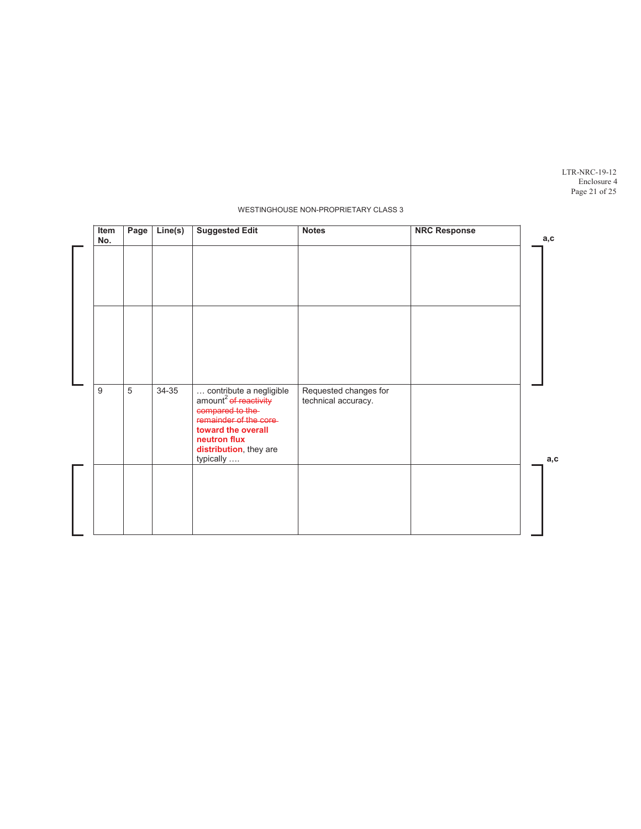LTR-NRC-19-12 Enclosure 4 Page 21 of 25

| Item<br>No. | Page           | Line(s) | <b>Suggested Edit</b>                                                                                                          | <b>Notes</b>                                 | <b>NRC Response</b> | a, c |
|-------------|----------------|---------|--------------------------------------------------------------------------------------------------------------------------------|----------------------------------------------|---------------------|------|
|             |                |         |                                                                                                                                |                                              |                     |      |
|             |                |         |                                                                                                                                |                                              |                     |      |
|             |                |         |                                                                                                                                |                                              |                     |      |
|             |                |         |                                                                                                                                |                                              |                     |      |
|             |                |         |                                                                                                                                |                                              |                     |      |
| 9           | $\overline{5}$ | 34-35   | contribute a negligible<br>amount <sup>2</sup> of reactivity<br>compared to the<br>remainder of the core<br>toward the overall | Requested changes for<br>technical accuracy. |                     |      |
|             |                |         | neutron flux<br>distribution, they are<br>typically                                                                            |                                              |                     |      |
|             |                |         |                                                                                                                                |                                              |                     |      |
|             |                |         |                                                                                                                                |                                              |                     |      |
|             |                |         |                                                                                                                                |                                              |                     |      |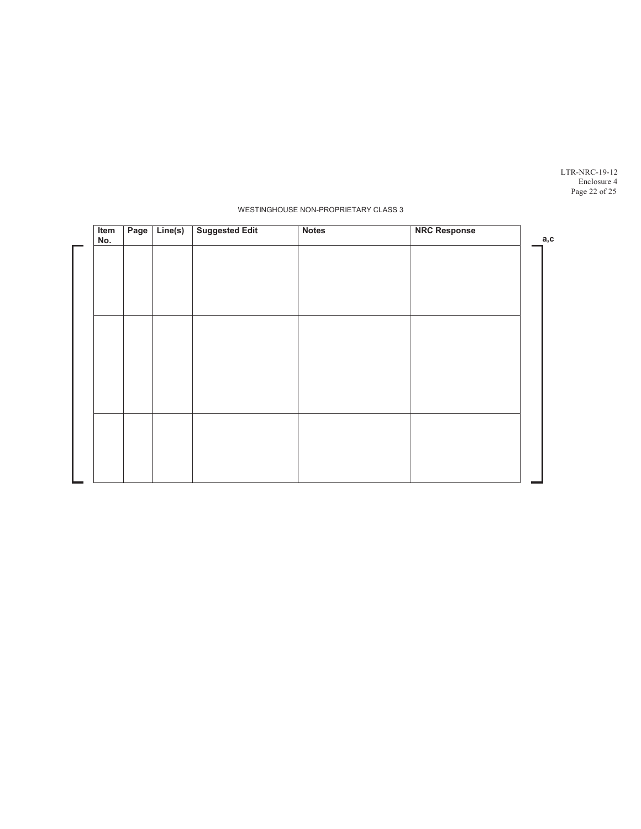LTR-NRC-19-12 Enclosure 4 Page 22 of 25

| Item<br>No. | Page | Line(s) | <b>Suggested Edit</b> | <b>Notes</b> | <b>NRC Response</b> | a,c |
|-------------|------|---------|-----------------------|--------------|---------------------|-----|
|             |      |         |                       |              |                     |     |
|             |      |         |                       |              |                     |     |
|             |      |         |                       |              |                     |     |
|             |      |         |                       |              |                     |     |
|             |      |         |                       |              |                     |     |
|             |      |         |                       |              |                     |     |
|             |      |         |                       |              |                     |     |
|             |      |         |                       |              |                     |     |
|             |      |         |                       |              |                     |     |
|             |      |         |                       |              |                     |     |
|             |      |         |                       |              |                     |     |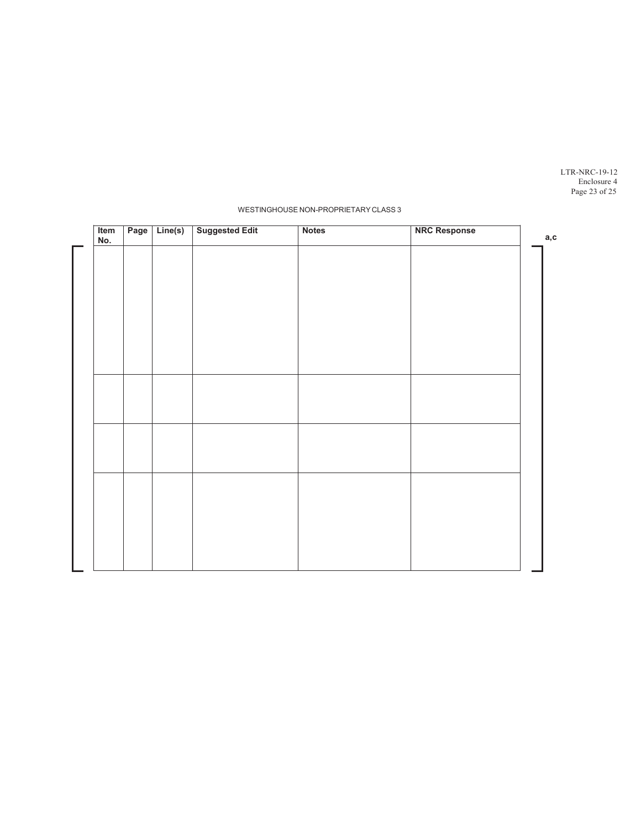LTR-NRC-19-12 Enclosure 4 Page 23 of 25

| Item<br>No. | Page | Line(s) | <b>Suggested Edit</b> | <b>Notes</b> | <b>NRC Response</b> | a,c |
|-------------|------|---------|-----------------------|--------------|---------------------|-----|
|             |      |         |                       |              |                     |     |
|             |      |         |                       |              |                     |     |
|             |      |         |                       |              |                     |     |
|             |      |         |                       |              |                     |     |
|             |      |         |                       |              |                     |     |
|             |      |         |                       |              |                     |     |
|             |      |         |                       |              |                     |     |
|             |      |         |                       |              |                     |     |
|             |      |         |                       |              |                     |     |
|             |      |         |                       |              |                     |     |
|             |      |         |                       |              |                     |     |
|             |      |         |                       |              |                     |     |
|             |      |         |                       |              |                     |     |
|             |      |         |                       |              |                     |     |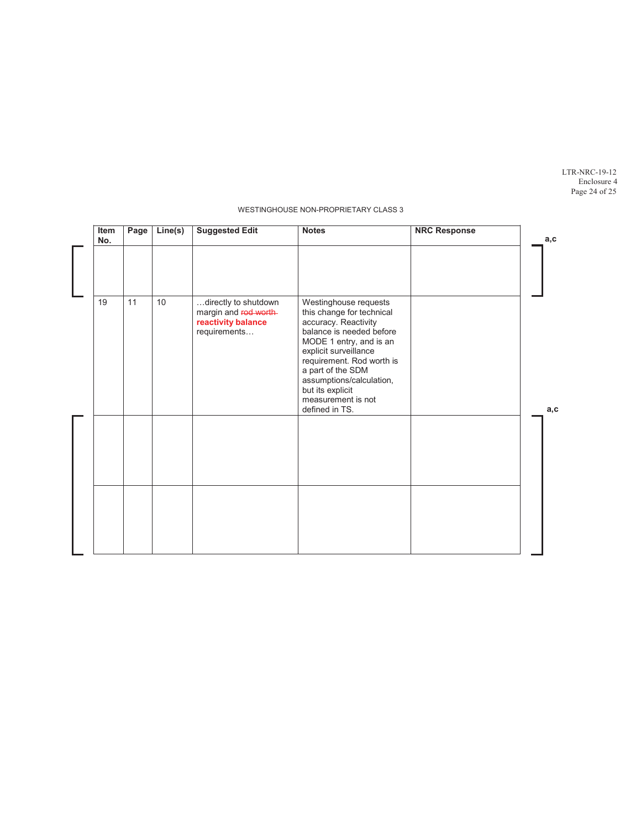LTR-NRC-19-12 Enclosure 4 Page 24 of 25

| Item<br>No. | Page | $\overline{\mathsf{Line}}(s)$ | <b>Suggested Edit</b>                                                              | <b>Notes</b>                                                                                                                                                                                                                                                                                         | <b>NRC Response</b> | a,c  |
|-------------|------|-------------------------------|------------------------------------------------------------------------------------|------------------------------------------------------------------------------------------------------------------------------------------------------------------------------------------------------------------------------------------------------------------------------------------------------|---------------------|------|
|             |      |                               |                                                                                    |                                                                                                                                                                                                                                                                                                      |                     |      |
| 19          | 11   | 10                            | directly to shutdown<br>margin and rod worth<br>reactivity balance<br>requirements | Westinghouse requests<br>this change for technical<br>accuracy. Reactivity<br>balance is needed before<br>MODE 1 entry, and is an<br>explicit surveillance<br>requirement. Rod worth is<br>a part of the SDM<br>assumptions/calculation,<br>but its explicit<br>measurement is not<br>defined in TS. |                     | a, c |
|             |      |                               |                                                                                    |                                                                                                                                                                                                                                                                                                      |                     |      |
|             |      |                               |                                                                                    |                                                                                                                                                                                                                                                                                                      |                     |      |